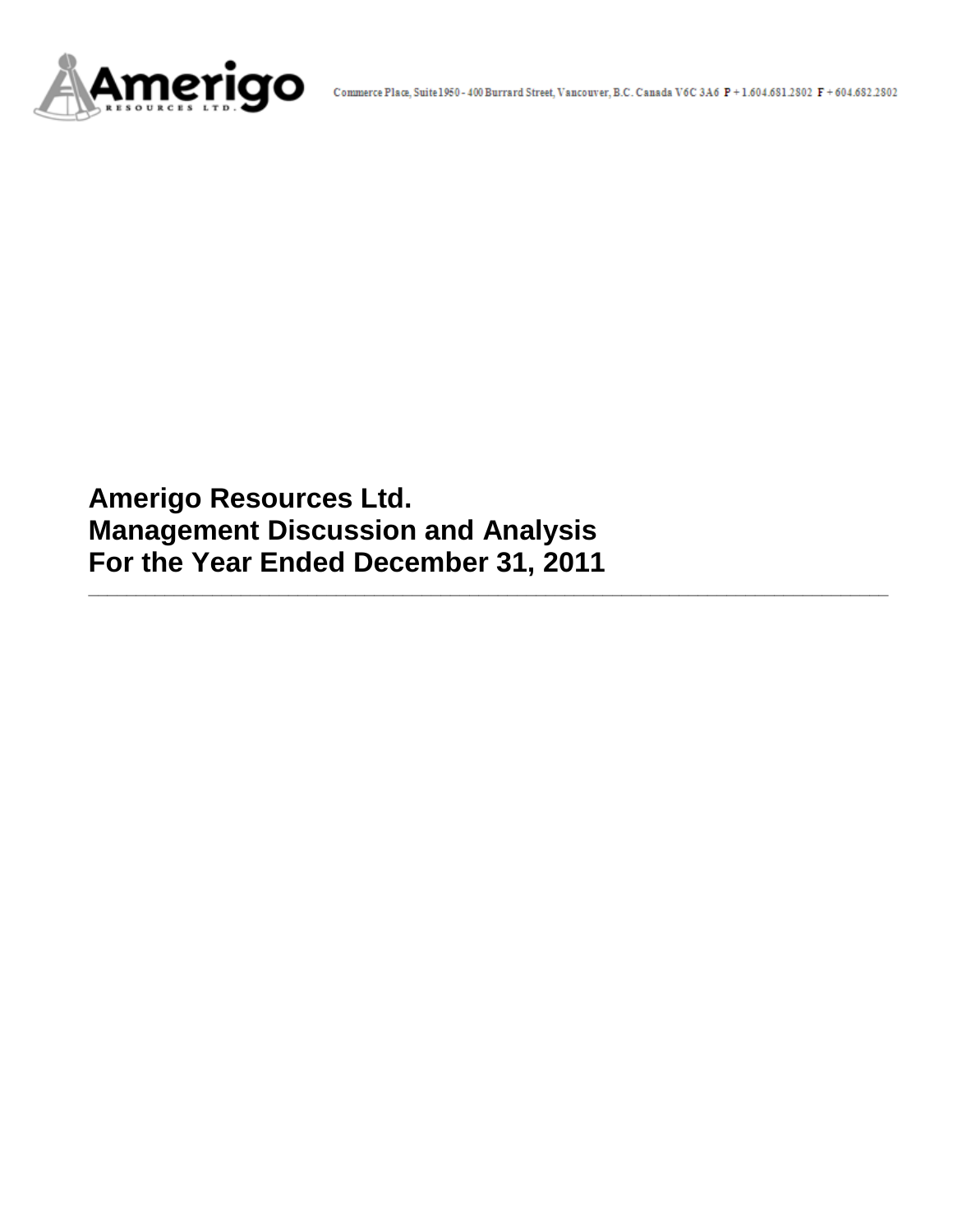

**Amerigo Resources Ltd. Management Discussion and Analysis For the Year Ended December 31, 2011**

**\_\_\_\_\_\_\_\_\_\_\_\_\_\_\_\_\_\_\_\_\_\_\_\_\_\_\_\_\_\_\_\_\_\_\_\_\_\_\_\_\_\_\_\_\_\_\_\_\_\_\_\_\_\_\_\_\_\_\_\_\_\_\_\_\_\_\_\_\_\_\_\_\_\_\_\_\_\_\_\_\_\_\_\_**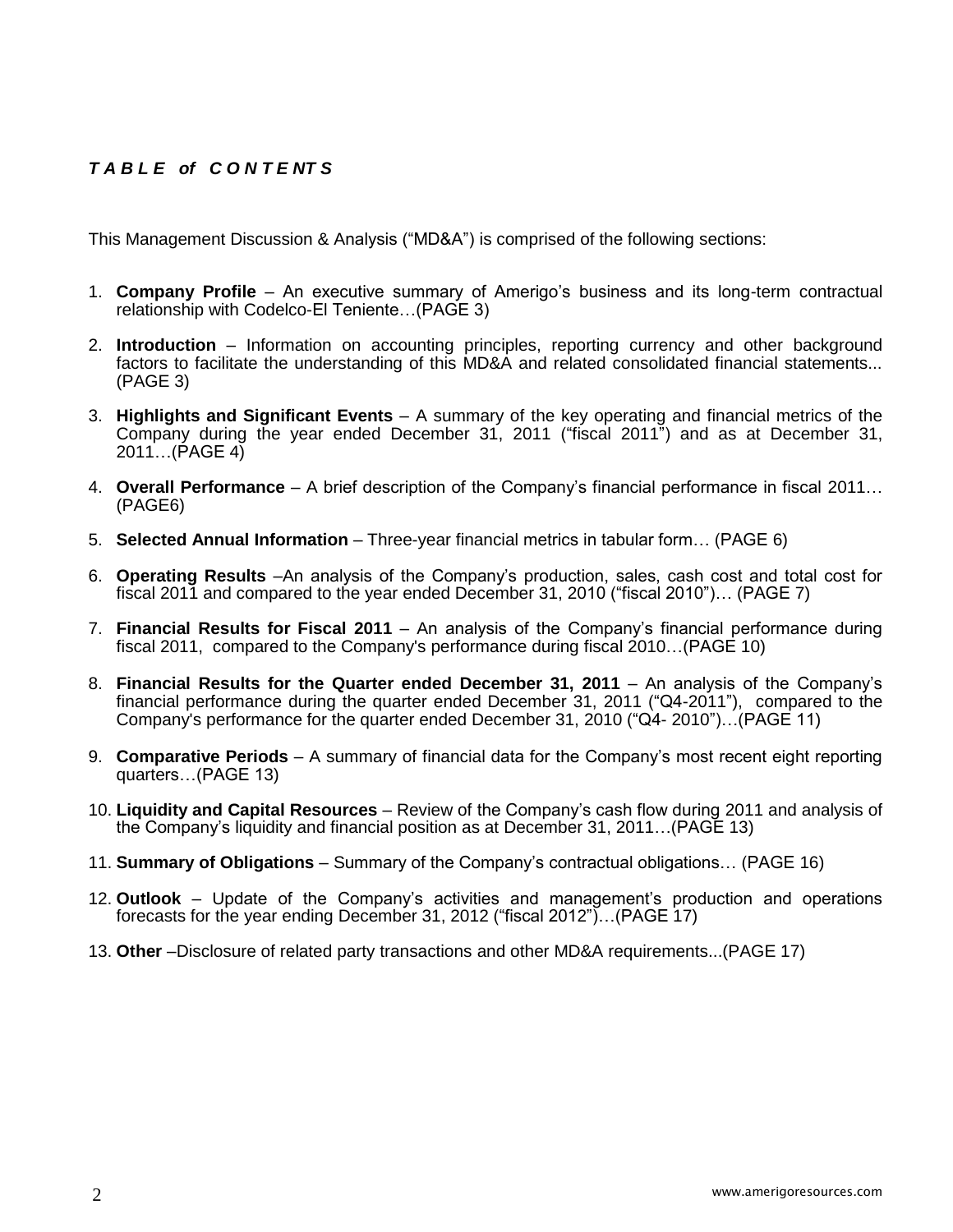# *T A B L E of C O N T E NT S*

This Management Discussion & Analysis ("MD&A") is comprised of the following sections:

- 1. **Company Profile**  An executive summary of Amerigo's business and its long-term contractual relationship with Codelco-El Teniente…(PAGE 3)
- 2. **Introduction**  Information on accounting principles, reporting currency and other background factors to facilitate the understanding of this MD&A and related consolidated financial statements... (PAGE 3)
- 3. **Highlights and Significant Events** A summary of the key operating and financial metrics of the Company during the year ended December 31, 2011 ("fiscal 2011") and as at December 31, 2011…(PAGE 4)
- 4. **Overall Performance** A brief description of the Company's financial performance in fiscal 2011… (PAGE6)
- 5. **Selected Annual Information** Three-year financial metrics in tabular form… (PAGE 6)
- 6. **Operating Results** –An analysis of the Company's production, sales, cash cost and total cost for fiscal 2011 and compared to the year ended December 31, 2010 ("fiscal 2010")… (PAGE 7)
- 7. **Financial Results for Fiscal 2011** An analysis of the Company's financial performance during fiscal 2011, compared to the Company's performance during fiscal 2010…(PAGE 10)
- 8. **Financial Results for the Quarter ended December 31, 2011** An analysis of the Company's financial performance during the quarter ended December 31, 2011 ("Q4-2011"), compared to the Company's performance for the quarter ended December 31, 2010 ("Q4- 2010")…(PAGE 11)
- 9. **Comparative Periods** A summary of financial data for the Company's most recent eight reporting quarters…(PAGE 13)
- 10. **Liquidity and Capital Resources** Review of the Company's cash flow during 2011 and analysis of the Company's liquidity and financial position as at December 31, 2011…(PAGE 13)
- 11. **Summary of Obligations**  Summary of the Company's contractual obligations… (PAGE 16)
- 12. **Outlook** Update of the Company's activities and management's production and operations forecasts for the year ending December 31, 2012 ("fiscal 2012")…(PAGE 17)
- 13. **Other** –Disclosure of related party transactions and other MD&A requirements...(PAGE 17)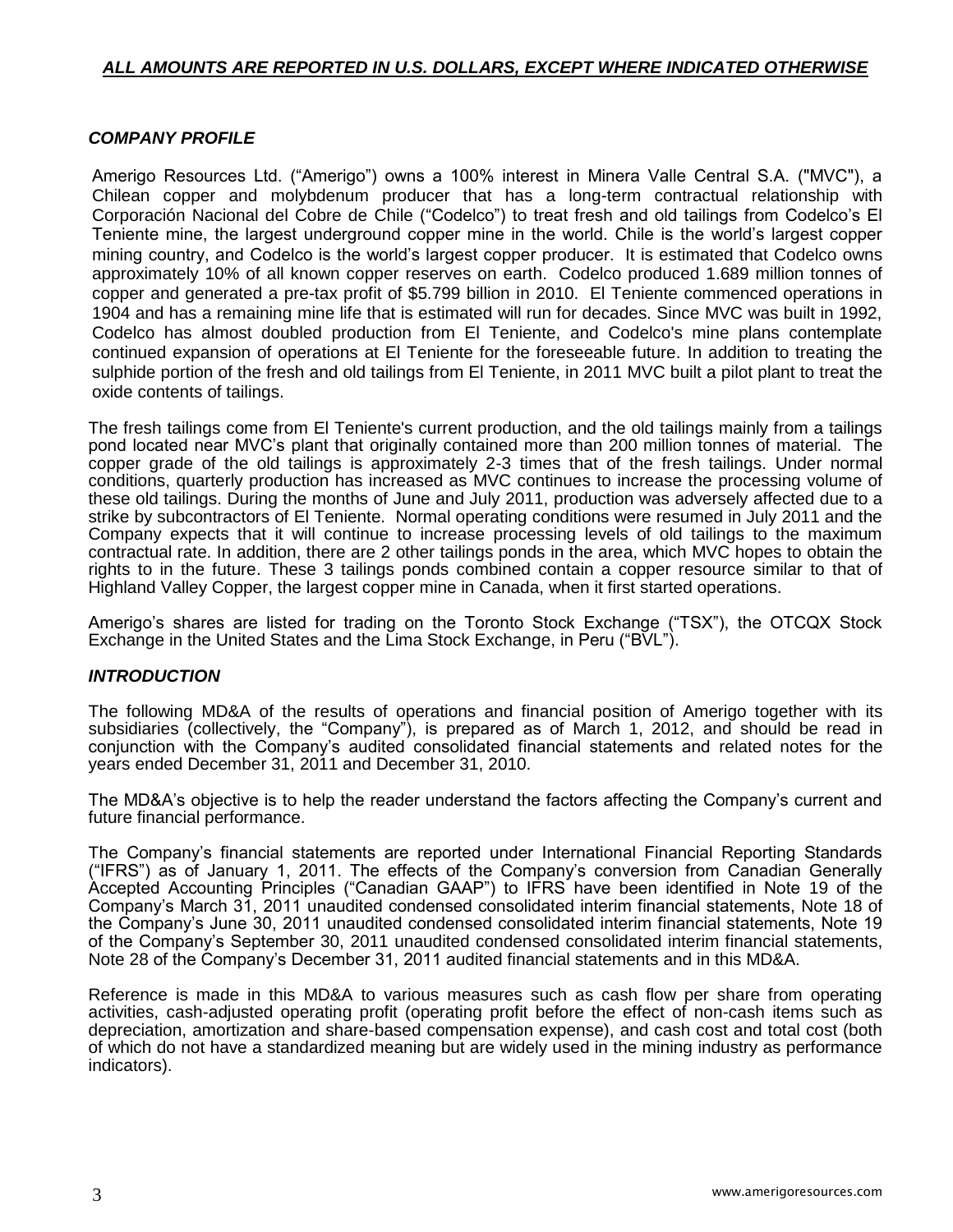# *ALL AMOUNTS ARE REPORTED IN U.S. DOLLARS, EXCEPT WHERE INDICATED OTHERWISE*

# *COMPANY PROFILE*

Amerigo Resources Ltd. ("Amerigo") owns a 100% interest in Minera Valle Central S.A. ("MVC"), a Chilean copper and molybdenum producer that has a long-term contractual relationship with Corporación Nacional del Cobre de Chile ("Codelco") to treat fresh and old tailings from Codelco's El Teniente mine, the largest underground copper mine in the world. Chile is the world's largest copper mining country, and Codelco is the world's largest copper producer. It is estimated that Codelco owns approximately 10% of all known copper reserves on earth. Codelco produced 1.689 million tonnes of copper and generated a pre-tax profit of \$5.799 billion in 2010. El Teniente commenced operations in 1904 and has a remaining mine life that is estimated will run for decades. Since MVC was built in 1992, Codelco has almost doubled production from El Teniente, and Codelco's mine plans contemplate continued expansion of operations at El Teniente for the foreseeable future. In addition to treating the sulphide portion of the fresh and old tailings from El Teniente, in 2011 MVC built a pilot plant to treat the oxide contents of tailings.

The fresh tailings come from El Teniente's current production, and the old tailings mainly from a tailings pond located near MVC's plant that originally contained more than 200 million tonnes of material. The copper grade of the old tailings is approximately 2-3 times that of the fresh tailings. Under normal conditions, quarterly production has increased as MVC continues to increase the processing volume of these old tailings. During the months of June and July 2011, production was adversely affected due to a strike by subcontractors of El Teniente. Normal operating conditions were resumed in July 2011 and the Company expects that it will continue to increase processing levels of old tailings to the maximum contractual rate. In addition, there are 2 other tailings ponds in the area, which MVC hopes to obtain the rights to in the future. These 3 tailings ponds combined contain a copper resource similar to that of Highland Valley Copper, the largest copper mine in Canada, when it first started operations.

Amerigo's shares are listed for trading on the Toronto Stock Exchange ("TSX"), the OTCQX Stock Exchange in the United States and the Lima Stock Exchange, in Peru ("BVL").

# *INTRODUCTION*

The following MD&A of the results of operations and financial position of Amerigo together with its subsidiaries (collectively, the "Company"), is prepared as of March 1, 2012, and should be read in conjunction with the Company's audited consolidated financial statements and related notes for the years ended December 31, 2011 and December 31, 2010.

The MD&A's objective is to help the reader understand the factors affecting the Company's current and future financial performance.

The Company's financial statements are reported under International Financial Reporting Standards ("IFRS") as of January 1, 2011. The effects of the Company's conversion from Canadian Generally Accepted Accounting Principles ("Canadian GAAP") to IFRS have been identified in Note 19 of the Company's March 31, 2011 unaudited condensed consolidated interim financial statements, Note 18 of the Company's June 30, 2011 unaudited condensed consolidated interim financial statements, Note 19 of the Company's September 30, 2011 unaudited condensed consolidated interim financial statements, Note 28 of the Company's December 31, 2011 audited financial statements and in this MD&A.

Reference is made in this MD&A to various measures such as cash flow per share from operating activities, cash-adjusted operating profit (operating profit before the effect of non-cash items such as depreciation, amortization and share-based compensation expense), and cash cost and total cost (both of which do not have a standardized meaning but are widely used in the mining industry as performance indicators).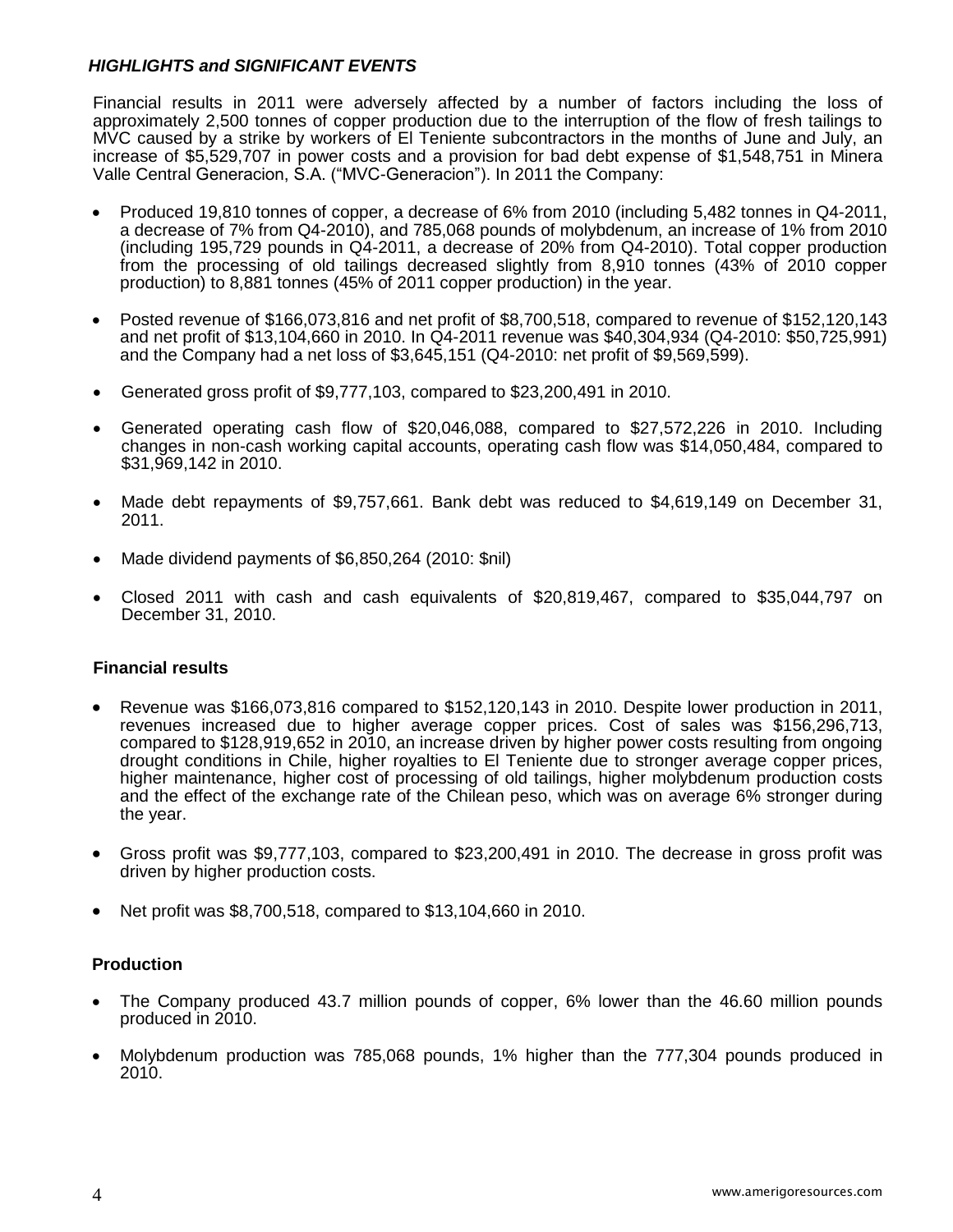# *HIGHLIGHTS and SIGNIFICANT EVENTS*

Financial results in 2011 were adversely affected by a number of factors including the loss of approximately 2,500 tonnes of copper production due to the interruption of the flow of fresh tailings to MVC caused by a strike by workers of El Teniente subcontractors in the months of June and July, an increase of \$5,529,707 in power costs and a provision for bad debt expense of \$1,548,751 in Minera Valle Central Generacion, S.A. ("MVC-Generacion"). In 2011 the Company:

- Produced 19,810 tonnes of copper, a decrease of 6% from 2010 (including 5,482 tonnes in Q4-2011, a decrease of 7% from Q4-2010), and 785,068 pounds of molybdenum, an increase of 1% from 2010 (including 195,729 pounds in Q4-2011, a decrease of 20% from Q4-2010). Total copper production from the processing of old tailings decreased slightly from 8,910 tonnes (43% of 2010 copper production) to 8,881 tonnes (45% of 2011 copper production) in the year.
- Posted revenue of \$166,073,816 and net profit of \$8,700,518, compared to revenue of \$152,120,143 and net profit of \$13,104,660 in 2010. In Q4-2011 revenue was \$40,304,934 (Q4-2010: \$50,725,991) and the Company had a net loss of \$3,645,151 (Q4-2010: net profit of \$9,569,599).
- Generated gross profit of \$9,777,103, compared to \$23,200,491 in 2010.
- Generated operating cash flow of \$20,046,088, compared to \$27,572,226 in 2010. Including changes in non-cash working capital accounts, operating cash flow was \$14,050,484, compared to \$31,969,142 in 2010.
- Made debt repayments of \$9,757,661. Bank debt was reduced to \$4,619,149 on December 31, 2011.
- Made dividend payments of \$6,850,264 (2010: \$nil)
- Closed 2011 with cash and cash equivalents of \$20,819,467, compared to \$35,044,797 on December 31, 2010.

### **Financial results**

- Revenue was \$166,073,816 compared to \$152,120,143 in 2010. Despite lower production in 2011, revenues increased due to higher average copper prices. Cost of sales was \$156,296,713, compared to \$128,919,652 in 2010, an increase driven by higher power costs resulting from ongoing drought conditions in Chile, higher royalties to El Teniente due to stronger average copper prices, higher maintenance, higher cost of processing of old tailings, higher molybdenum production costs and the effect of the exchange rate of the Chilean peso, which was on average 6% stronger during the year.
- Gross profit was \$9,777,103, compared to \$23,200,491 in 2010. The decrease in gross profit was driven by higher production costs.
- $\bullet$  Net profit was \$8,700,518, compared to \$13,104,660 in 2010.

### **Production**

- The Company produced 43.7 million pounds of copper, 6% lower than the 46.60 million pounds produced in 2010.
- Molybdenum production was 785,068 pounds, 1% higher than the 777,304 pounds produced in 2010.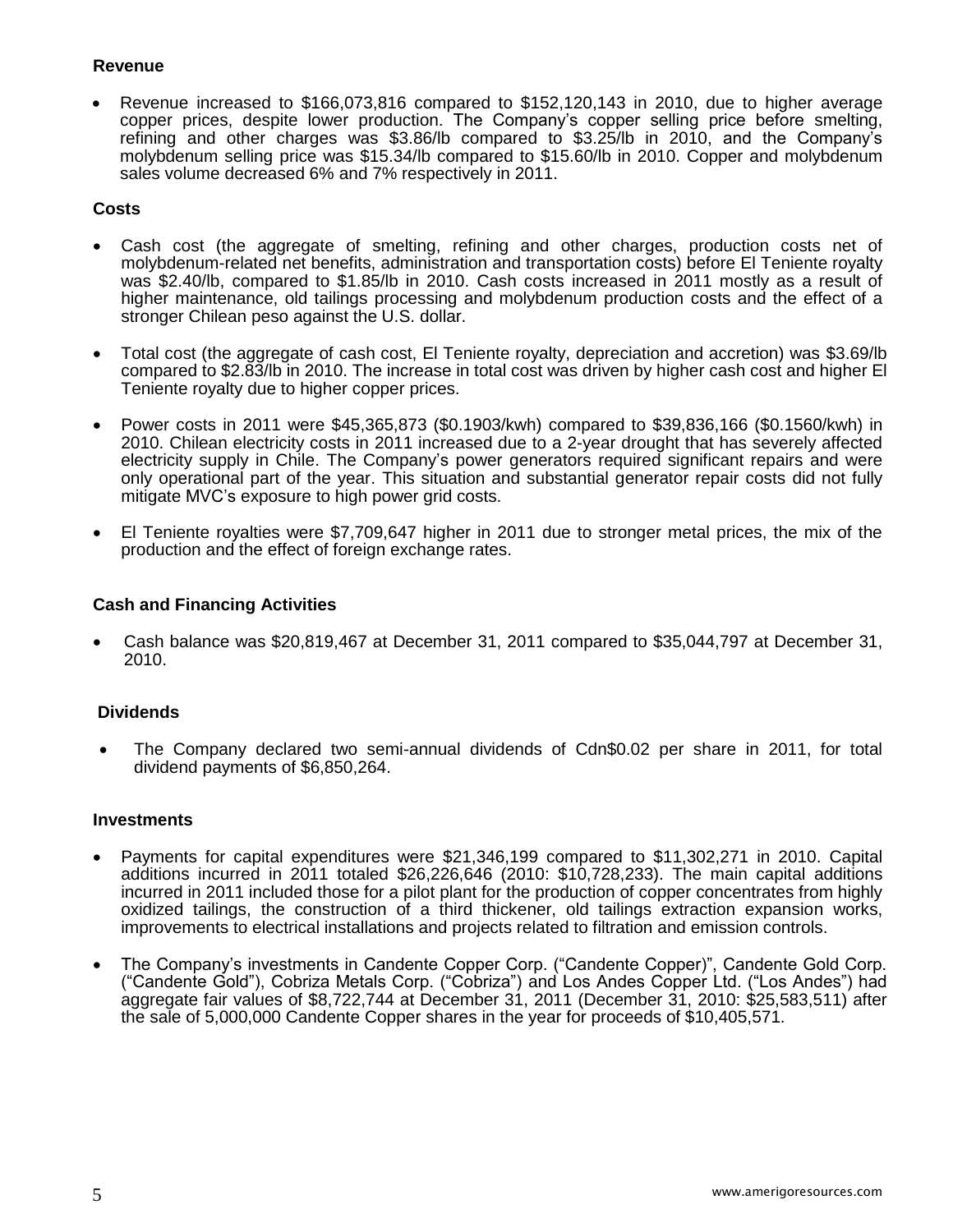### **Revenue**

 Revenue increased to \$166,073,816 compared to \$152,120,143 in 2010, due to higher average copper prices, despite lower production. The Company's copper selling price before smelting, refining and other charges was \$3.86/lb compared to \$3.25/lb in 2010, and the Company's molybdenum selling price was \$15.34/lb compared to \$15.60/lb in 2010. Copper and molybdenum sales volume decreased 6% and 7% respectively in 2011.

# **Costs**

- Cash cost (the aggregate of smelting, refining and other charges, production costs net of molybdenum-related net benefits, administration and transportation costs) before El Teniente royalty was \$2.40/lb, compared to \$1.85/lb in 2010. Cash costs increased in 2011 mostly as a result of higher maintenance, old tailings processing and molybdenum production costs and the effect of a stronger Chilean peso against the U.S. dollar.
- Total cost (the aggregate of cash cost, El Teniente royalty, depreciation and accretion) was \$3.69/lb compared to \$2.83/lb in 2010. The increase in total cost was driven by higher cash cost and higher El Teniente royalty due to higher copper prices.
- Power costs in 2011 were \$45,365,873 (\$0.1903/kwh) compared to \$39,836,166 (\$0.1560/kwh) in 2010. Chilean electricity costs in 2011 increased due to a 2-year drought that has severely affected electricity supply in Chile. The Company's power generators required significant repairs and were only operational part of the year. This situation and substantial generator repair costs did not fully mitigate MVC's exposure to high power grid costs.
- El Teniente royalties were \$7,709,647 higher in 2011 due to stronger metal prices, the mix of the production and the effect of foreign exchange rates.

### **Cash and Financing Activities**

 Cash balance was \$20,819,467 at December 31, 2011 compared to \$35,044,797 at December 31, 2010.

# **Dividends**

 The Company declared two semi-annual dividends of Cdn\$0.02 per share in 2011, for total dividend payments of \$6,850,264.

### **Investments**

- Payments for capital expenditures were \$21,346,199 compared to \$11,302,271 in 2010. Capital additions incurred in 2011 totaled \$26,226,646 (2010: \$10,728,233). The main capital additions incurred in 2011 included those for a pilot plant for the production of copper concentrates from highly oxidized tailings, the construction of a third thickener, old tailings extraction expansion works, improvements to electrical installations and projects related to filtration and emission controls.
- The Company's investments in Candente Copper Corp. ("Candente Copper)", Candente Gold Corp. ("Candente Gold"), Cobriza Metals Corp. ("Cobriza") and Los Andes Copper Ltd. ("Los Andes") had aggregate fair values of \$8,722,744 at December 31, 2011 (December 31, 2010: \$25,583,511) after the sale of 5,000,000 Candente Copper shares in the year for proceeds of \$10,405,571.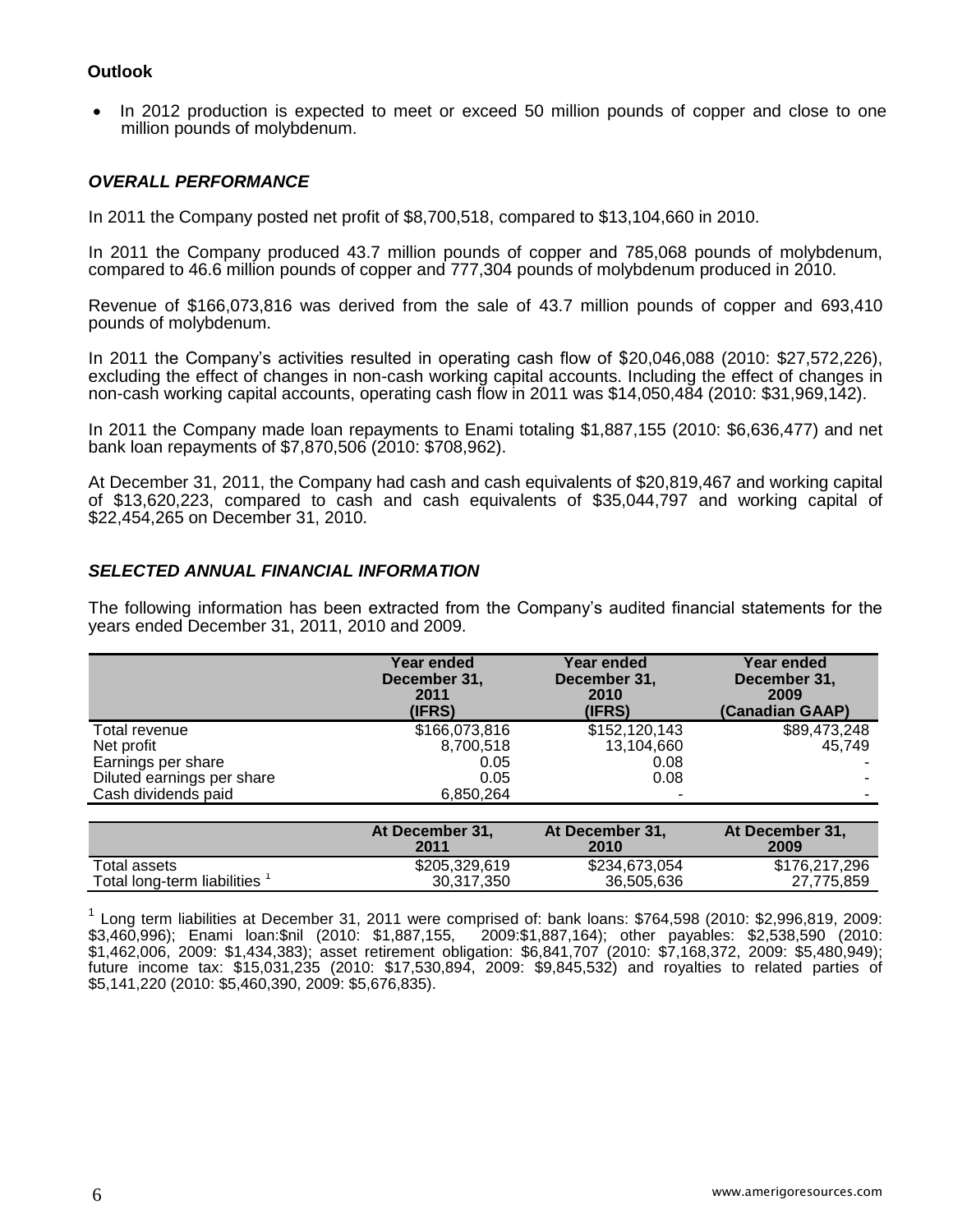### **Outlook**

• In 2012 production is expected to meet or exceed 50 million pounds of copper and close to one million pounds of molybdenum.

### *OVERALL PERFORMANCE*

In 2011 the Company posted net profit of \$8,700,518, compared to \$13,104,660 in 2010.

In 2011 the Company produced 43.7 million pounds of copper and 785,068 pounds of molybdenum, compared to 46.6 million pounds of copper and 777,304 pounds of molybdenum produced in 2010.

Revenue of \$166,073,816 was derived from the sale of 43.7 million pounds of copper and 693,410 pounds of molybdenum.

In 2011 the Company's activities resulted in operating cash flow of \$20,046,088 (2010: \$27,572,226), excluding the effect of changes in non-cash working capital accounts. Including the effect of changes in non-cash working capital accounts, operating cash flow in 2011 was \$14,050,484 (2010: \$31,969,142).

In 2011 the Company made loan repayments to Enami totaling \$1,887,155 (2010: \$6,636,477) and net bank loan repayments of \$7,870,506 (2010: \$708,962).

At December 31, 2011, the Company had cash and cash equivalents of \$20,819,467 and working capital of \$13,620,223, compared to cash and cash equivalents of \$35,044,797 and working capital of \$22,454,265 on December 31, 2010.

### *SELECTED ANNUAL FINANCIAL INFORMATION*

The following information has been extracted from the Company's audited financial statements for the years ended December 31, 2011, 2010 and 2009.

|                            | Year ended<br>December 31,<br>2011<br>(IFRS) | Year ended<br>December 31,<br>2010<br>(IFRS) | Year ended<br>December 31,<br>2009<br>(Canadian GAAP) |
|----------------------------|----------------------------------------------|----------------------------------------------|-------------------------------------------------------|
| Total revenue              | \$166,073,816                                | \$152,120,143                                | \$89,473,248                                          |
| Net profit                 | 8,700,518                                    | 13,104,660                                   | 45,749                                                |
| Earnings per share         | 0.05                                         | 0.08                                         |                                                       |
| Diluted earnings per share | 0.05                                         | 0.08                                         | ۰                                                     |
| Cash dividends paid        | 6,850,264                                    |                                              | -                                                     |
|                            |                                              |                                              |                                                       |

|                             | At December 31.<br>2011 | At December 31.<br>2010 | At December 31.<br>2009 |
|-----------------------------|-------------------------|-------------------------|-------------------------|
| Total assets                | \$205,329,619           | \$234,673,054           | \$176,217,296           |
| Total long-term liabilities | 30.317.350              | 36.505.636              | 27.775.859              |

<sup>1</sup> Long term liabilities at December 31, 2011 were comprised of: bank loans: \$764,598 (2010: \$2,996,819, 2009: \$3,460,996); Enami loan:\$nil (2010: \$1,887,155, 2009:\$1,887,164); other payables: \$2,538,590 (2010: \$1,462,006, 2009: \$1,434,383); asset retirement obligation: \$6,841,707 (2010: \$7,168,372, 2009: \$5,480,949); future income tax: \$15,031,235 (2010: \$17,530,894, 2009: \$9,845,532) and royalties to related parties of \$5,141,220 (2010: \$5,460,390, 2009: \$5,676,835).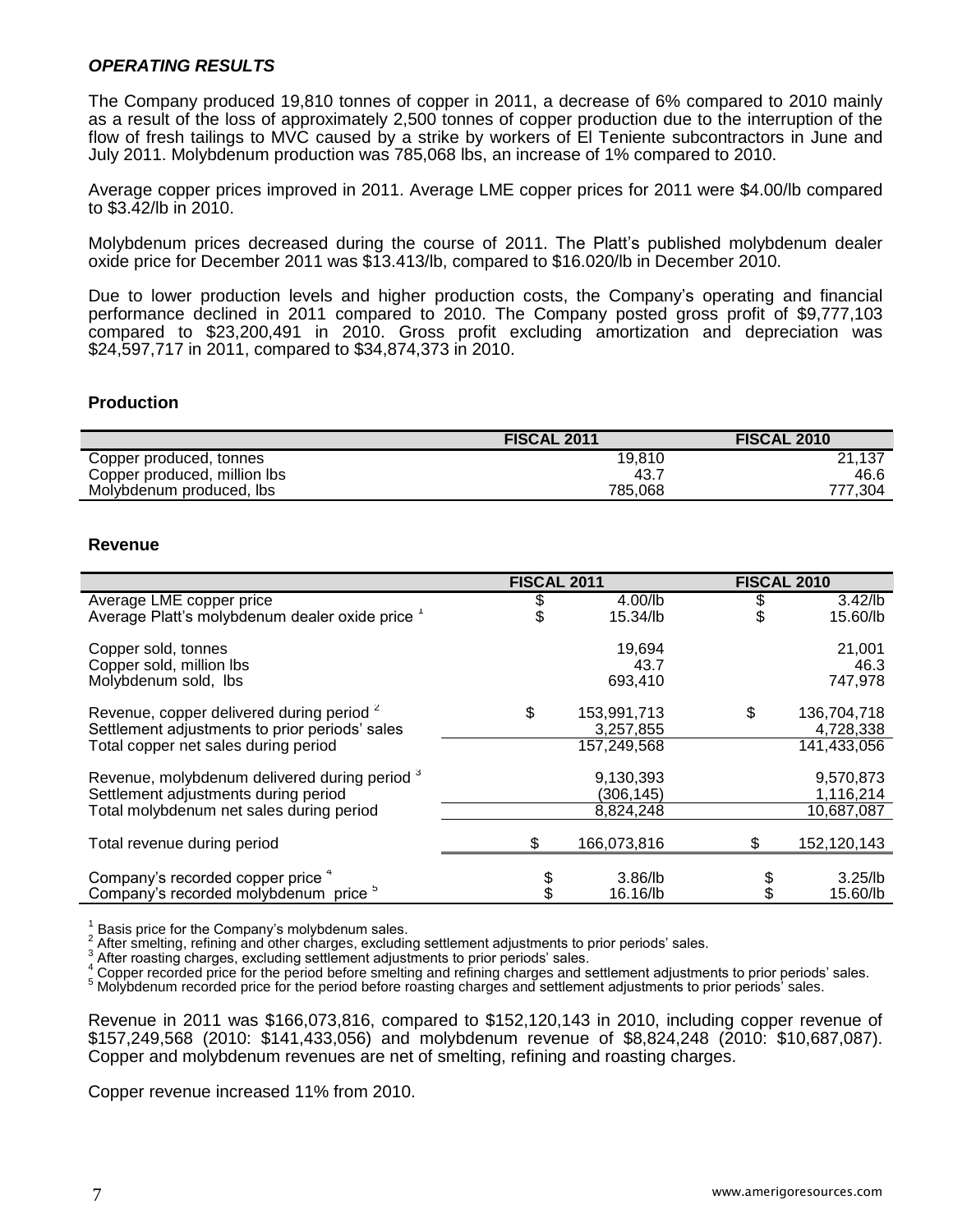### *OPERATING RESULTS*

The Company produced 19,810 tonnes of copper in 2011, a decrease of 6% compared to 2010 mainly as a result of the loss of approximately 2,500 tonnes of copper production due to the interruption of the flow of fresh tailings to MVC caused by a strike by workers of El Teniente subcontractors in June and July 2011. Molybdenum production was 785,068 lbs, an increase of 1% compared to 2010.

Average copper prices improved in 2011. Average LME copper prices for 2011 were \$4.00/lb compared to \$3.42/lb in 2010.

Molybdenum prices decreased during the course of 2011. The Platt's published molybdenum dealer oxide price for December 2011 was \$13.413/lb, compared to \$16.020/lb in December 2010.

Due to lower production levels and higher production costs, the Company's operating and financial performance declined in 2011 compared to 2010. The Company posted gross profit of \$9,777,103 compared to \$23,200,491 in 2010. Gross profit excluding amortization and depreciation was \$24,597,717 in 2011, compared to \$34,874,373 in 2010.

### **Production**

|                              | <b>FISCAL 2011</b> | <b>FISCAL 2010</b> |
|------------------------------|--------------------|--------------------|
| Copper produced, tonnes      | 19.810             | 21,137             |
| Copper produced, million lbs | 43.7               | 46.6               |
| Molybdenum produced, lbs     | 785.068            | 777.304            |

### **Revenue**

|                                                                                                                                                | <b>FISCAL 2011</b> |                                         | <b>FISCAL 2010</b> |                                         |
|------------------------------------------------------------------------------------------------------------------------------------------------|--------------------|-----------------------------------------|--------------------|-----------------------------------------|
| Average LME copper price<br>Average Platt's molybdenum dealer oxide price 1                                                                    |                    | $4.00$ /lb<br>15.34/lb                  |                    | $3.42$ /lb<br>15.60/lb                  |
| Copper sold, tonnes<br>Copper sold, million lbs<br>Molybdenum sold, Ibs                                                                        |                    | 19,694<br>43.7<br>693,410               |                    | 21,001<br>46.3<br>747,978               |
| Revenue, copper delivered during period <sup>2</sup><br>Settlement adjustments to prior periods' sales<br>Total copper net sales during period | \$                 | 153,991,713<br>3,257,855<br>157,249,568 | \$                 | 136,704,718<br>4,728,338<br>141,433,056 |
| Revenue, molybdenum delivered during period 3<br>Settlement adjustments during period<br>Total molybdenum net sales during period              |                    | 9,130,393<br>(306, 145)<br>8,824,248    |                    | 9,570,873<br>1,116,214<br>10,687,087    |
| Total revenue during period                                                                                                                    | \$                 | 166,073,816                             | S                  | 152,120,143                             |
| Company's recorded copper price 4<br>Company's recorded molybdenum price <sup>o</sup>                                                          |                    | $3.86$ /lb<br>16.16/lb                  |                    | $3.25$ /lb<br>15.60/lb                  |

1 Basis price for the Company's molybdenum sales.

2 After smelting, refining and other charges, excluding settlement adjustments to prior periods' sales.

3 After roasting charges, excluding settlement adjustments to prior periods' sales.

A mer recorded price for the period before smelting and refining charges and settlement adjustments to prior periods' sales.

<sup>5</sup> Molybdenum recorded price for the period before roasting charges and settlement adjustments to prior periods' sales.

Revenue in 2011 was \$166,073,816, compared to \$152,120,143 in 2010, including copper revenue of \$157,249,568 (2010: \$141,433,056) and molybdenum revenue of \$8,824,248 (2010: \$10,687,087). Copper and molybdenum revenues are net of smelting, refining and roasting charges.

Copper revenue increased 11% from 2010.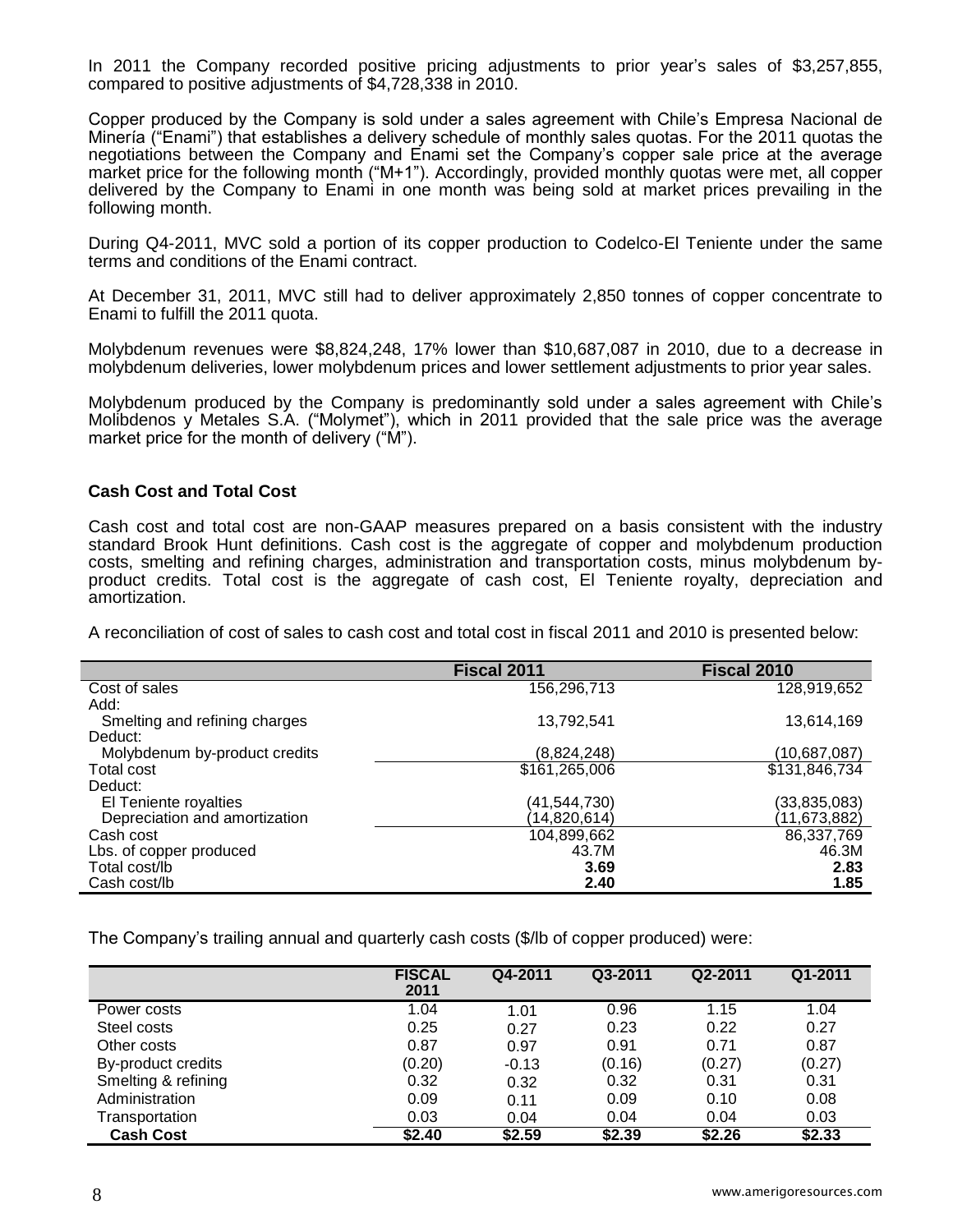In 2011 the Company recorded positive pricing adjustments to prior year's sales of \$3,257,855, compared to positive adjustments of \$4,728,338 in 2010.

Copper produced by the Company is sold under a sales agreement with Chile's Empresa Nacional de Minería ("Enami") that establishes a delivery schedule of monthly sales quotas. For the 2011 quotas the negotiations between the Company and Enami set the Company's copper sale price at the average market price for the following month ("M+1"). Accordingly, provided monthly quotas were met, all copper delivered by the Company to Enami in one month was being sold at market prices prevailing in the following month.

During Q4-2011, MVC sold a portion of its copper production to Codelco-El Teniente under the same terms and conditions of the Enami contract.

At December 31, 2011, MVC still had to deliver approximately 2,850 tonnes of copper concentrate to Enami to fulfill the 2011 quota.

Molybdenum revenues were \$8,824,248, 17% lower than \$10,687,087 in 2010, due to a decrease in molybdenum deliveries, lower molybdenum prices and lower settlement adjustments to prior year sales.

Molybdenum produced by the Company is predominantly sold under a sales agreement with Chile's Molibdenos y Metales S.A. ("Molymet"), which in 2011 provided that the sale price was the average market price for the month of delivery ("M").

### **Cash Cost and Total Cost**

Cash cost and total cost are non-GAAP measures prepared on a basis consistent with the industry standard Brook Hunt definitions. Cash cost is the aggregate of copper and molybdenum production costs, smelting and refining charges, administration and transportation costs, minus molybdenum byproduct credits. Total cost is the aggregate of cash cost, El Teniente royalty, depreciation and amortization.

A reconciliation of cost of sales to cash cost and total cost in fiscal 2011 and 2010 is presented below:

|                               | Fiscal 2011   | Fiscal 2010   |
|-------------------------------|---------------|---------------|
| Cost of sales                 | 156,296,713   | 128,919,652   |
| Add:                          |               |               |
| Smelting and refining charges | 13,792,541    | 13,614,169    |
| Deduct:                       |               |               |
| Molybdenum by-product credits | (8,824,248)   | (10,687,087)  |
| Total cost                    | \$161,265,006 | \$131,846,734 |
| Deduct:                       |               |               |
| El Teniente royalties         | (41,544,730)  | (33,835,083)  |
| Depreciation and amortization | (14,820,614)  | (11,673,882)  |
| Cash cost                     | 104,899,662   | 86,337,769    |
| Lbs. of copper produced       | 43.7M         | 46.3M         |
| Total cost/lb                 | 3.69          | 2.83          |
| Cash cost/lb                  | 2.40          | 1.85          |

The Company's trailing annual and quarterly cash costs (\$/lb of copper produced) were:

|                     | <b>FISCAL</b><br>2011 | Q4-2011 | Q3-2011 | Q2-2011 | Q1-2011 |
|---------------------|-----------------------|---------|---------|---------|---------|
| Power costs         | 1.04                  | 1.01    | 0.96    | 1.15    | 1.04    |
| Steel costs         | 0.25                  | 0.27    | 0.23    | 0.22    | 0.27    |
| Other costs         | 0.87                  | 0.97    | 0.91    | 0.71    | 0.87    |
| By-product credits  | (0.20)                | $-0.13$ | (0.16)  | (0.27)  | (0.27)  |
| Smelting & refining | 0.32                  | 0.32    | 0.32    | 0.31    | 0.31    |
| Administration      | 0.09                  | 0.11    | 0.09    | 0.10    | 0.08    |
| Transportation      | 0.03                  | 0.04    | 0.04    | 0.04    | 0.03    |
| <b>Cash Cost</b>    | \$2.40                | \$2.59  | \$2.39  | \$2.26  | \$2.33  |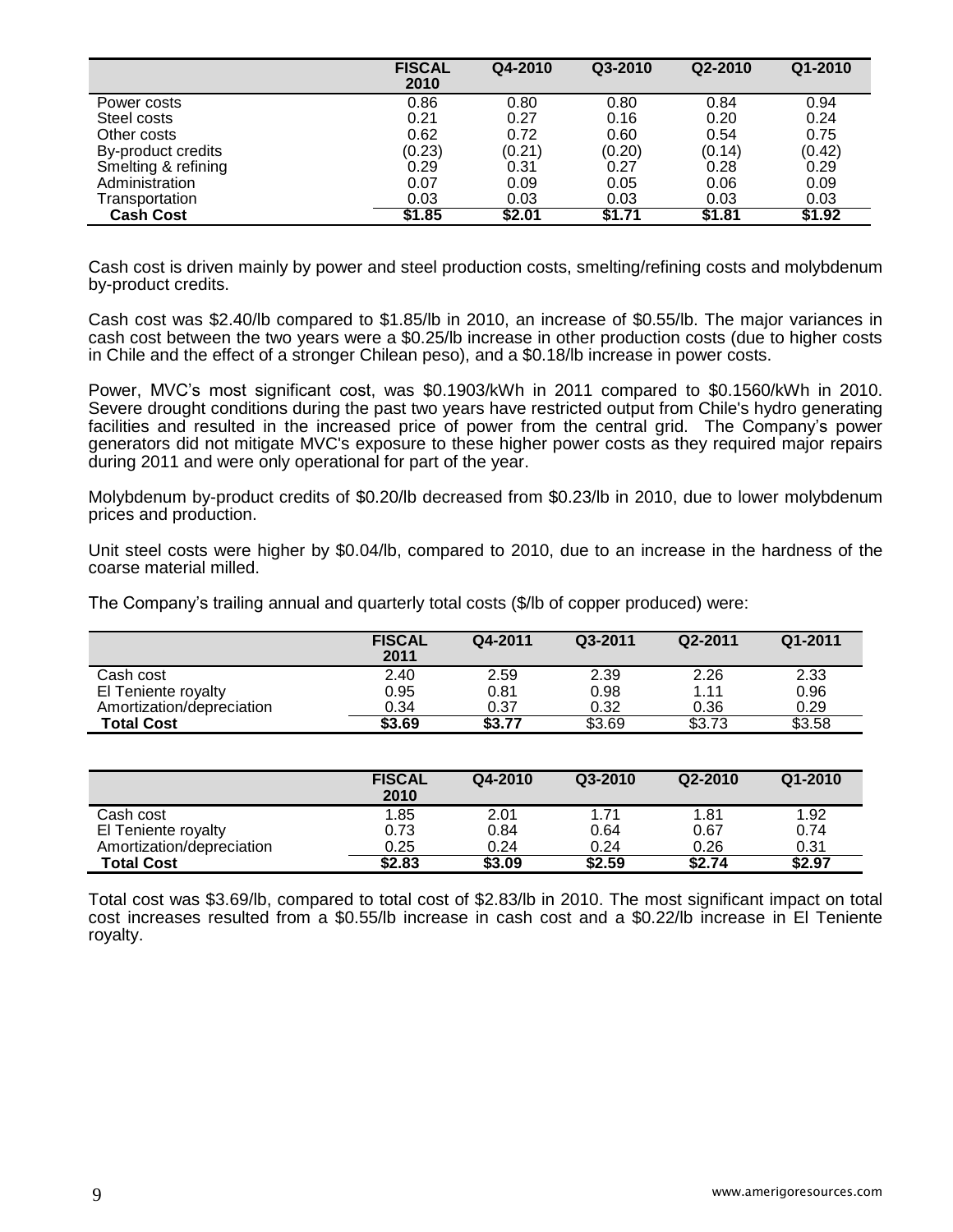|                     | <b>FISCAL</b><br>2010 | Q4-2010 | Q3-2010 | Q2-2010 | $Q1 - 2010$ |
|---------------------|-----------------------|---------|---------|---------|-------------|
| Power costs         | 0.86                  | 0.80    | 0.80    | 0.84    | 0.94        |
| Steel costs         | 0.21                  | 0.27    | 0.16    | 0.20    | 0.24        |
| Other costs         | 0.62                  | 0.72    | 0.60    | 0.54    | 0.75        |
| By-product credits  | (0.23)                | (0.21)  | (0.20)  | (0.14)  | (0.42)      |
| Smelting & refining | 0.29                  | 0.31    | 0.27    | 0.28    | 0.29        |
| Administration      | 0.07                  | 0.09    | 0.05    | 0.06    | 0.09        |
| Transportation      | 0.03                  | 0.03    | 0.03    | 0.03    | 0.03        |
| <b>Cash Cost</b>    | \$1.85                | \$2.01  | \$1.71  | \$1.81  | \$1.92      |

Cash cost is driven mainly by power and steel production costs, smelting/refining costs and molybdenum by-product credits.

Cash cost was \$2.40/lb compared to \$1.85/lb in 2010, an increase of \$0.55/lb. The major variances in cash cost between the two years were a \$0.25/lb increase in other production costs (due to higher costs in Chile and the effect of a stronger Chilean peso), and a \$0.18/lb increase in power costs.

Power, MVC's most significant cost, was \$0.1903/kWh in 2011 compared to \$0.1560/kWh in 2010. Severe drought conditions during the past two years have restricted output from Chile's hydro generating facilities and resulted in the increased price of power from the central grid. The Company's power generators did not mitigate MVC's exposure to these higher power costs as they required major repairs during 2011 and were only operational for part of the year.

Molybdenum by-product credits of \$0.20/lb decreased from \$0.23/lb in 2010, due to lower molybdenum prices and production.

Unit steel costs were higher by \$0.04/lb, compared to 2010, due to an increase in the hardness of the coarse material milled.

The Company's trailing annual and quarterly total costs (\$/lb of copper produced) were:

|                           | <b>FISCAL</b><br>2011 | Q4-2011 | Q3-2011 | Q2-2011 | Q1-2011 |
|---------------------------|-----------------------|---------|---------|---------|---------|
| Cash cost                 | 2.40                  | 2.59    | 2.39    | 2.26    | 2.33    |
| El Teniente royalty       | 0.95                  | 0.81    | 0.98    | 1.11    | 0.96    |
| Amortization/depreciation | 0.34                  | 0.37    | 0.32    | 0.36    | 0.29    |
| <b>Total Cost</b>         | \$3.69                | \$3.77  | \$3.69  | \$3.73  | \$3.58  |

|                           | <b>FISCAL</b><br>2010 | Q4-2010 | Q3-2010 | Q2-2010 | $Q1 - 2010$ |
|---------------------------|-----------------------|---------|---------|---------|-------------|
| Cash cost                 | 1.85                  | 2.01    | 1.71    | 1.81    | 1.92        |
| El Teniente royalty       | 0.73                  | 0.84    | 0.64    | 0.67    | 0.74        |
| Amortization/depreciation | 0.25                  | 0.24    | 0.24    | 0.26    | 0.31        |
| <b>Total Cost</b>         | \$2.83                | \$3.09  | \$2.59  | \$2.74  | \$2.97      |

Total cost was \$3.69/lb, compared to total cost of \$2.83/lb in 2010. The most significant impact on total cost increases resulted from a \$0.55/lb increase in cash cost and a \$0.22/lb increase in El Teniente royalty.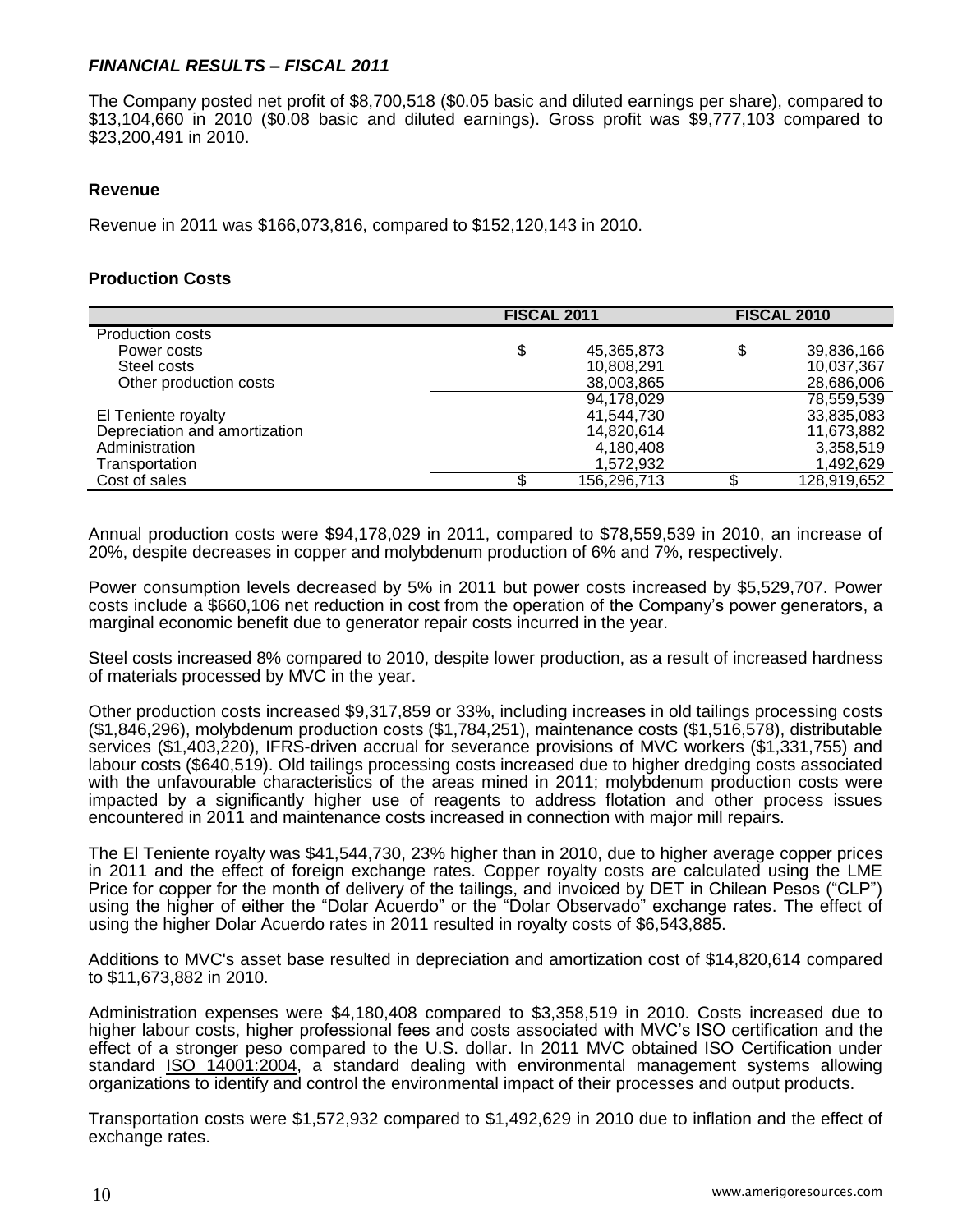### *FINANCIAL RESULTS – FISCAL 2011*

The Company posted net profit of \$8,700,518 (\$0.05 basic and diluted earnings per share), compared to \$13,104,660 in 2010 (\$0.08 basic and diluted earnings). Gross profit was \$9,777,103 compared to \$23,200,491 in 2010.

### **Revenue**

Revenue in 2011 was \$166,073,816, compared to \$152,120,143 in 2010.

### **Production Costs**

|                               | <b>FISCAL 2011</b> |             | <b>FISCAL 2010</b> |
|-------------------------------|--------------------|-------------|--------------------|
| <b>Production costs</b>       |                    |             |                    |
| Power costs                   | \$                 | 45,365,873  | \$<br>39,836,166   |
| Steel costs                   |                    | 10,808,291  | 10,037,367         |
| Other production costs        |                    | 38,003,865  | 28,686,006         |
|                               |                    | 94,178,029  | 78,559,539         |
| El Teniente royalty           |                    | 41,544,730  | 33,835,083         |
| Depreciation and amortization |                    | 14,820,614  | 11,673,882         |
| Administration                |                    | 4,180,408   | 3,358,519          |
| Transportation                |                    | 1,572,932   | 1,492,629          |
| Cost of sales                 |                    | 156,296,713 | 128,919,652        |

Annual production costs were \$94,178,029 in 2011, compared to \$78,559,539 in 2010, an increase of 20%, despite decreases in copper and molybdenum production of 6% and 7%, respectively.

Power consumption levels decreased by 5% in 2011 but power costs increased by \$5,529,707. Power costs include a \$660,106 net reduction in cost from the operation of the Company's power generators, a marginal economic benefit due to generator repair costs incurred in the year.

Steel costs increased 8% compared to 2010, despite lower production, as a result of increased hardness of materials processed by MVC in the year.

Other production costs increased \$9,317,859 or 33%, including increases in old tailings processing costs (\$1,846,296), molybdenum production costs (\$1,784,251), maintenance costs (\$1,516,578), distributable services (\$1,403,220), IFRS-driven accrual for severance provisions of MVC workers (\$1,331,755) and labour costs (\$640,519). Old tailings processing costs increased due to higher dredging costs associated with the unfavourable characteristics of the areas mined in 2011; molybdenum production costs were impacted by a significantly higher use of reagents to address flotation and other process issues encountered in 2011 and maintenance costs increased in connection with major mill repairs.

The El Teniente royalty was \$41,544,730, 23% higher than in 2010, due to higher average copper prices in 2011 and the effect of foreign exchange rates. Copper royalty costs are calculated using the LME Price for copper for the month of delivery of the tailings, and invoiced by DET in Chilean Pesos ("CLP") using the higher of either the "Dolar Acuerdo" or the "Dolar Observado" exchange rates. The effect of using the higher Dolar Acuerdo rates in 2011 resulted in royalty costs of \$6,543,885.

Additions to MVC's asset base resulted in depreciation and amortization cost of \$14,820,614 compared to \$11,673,882 in 2010.

Administration expenses were \$4,180,408 compared to \$3,358,519 in 2010. Costs increased due to higher labour costs, higher professional fees and costs associated with MVC's ISO certification and the effect of a stronger peso compared to the U.S. dollar. In 2011 MVC obtained ISO Certification under standard ISO 14001:2004, a standard dealing with environmental management systems allowing organizations to identify and control the environmental impact of their processes and output products.

Transportation costs were \$1,572,932 compared to \$1,492,629 in 2010 due to inflation and the effect of exchange rates.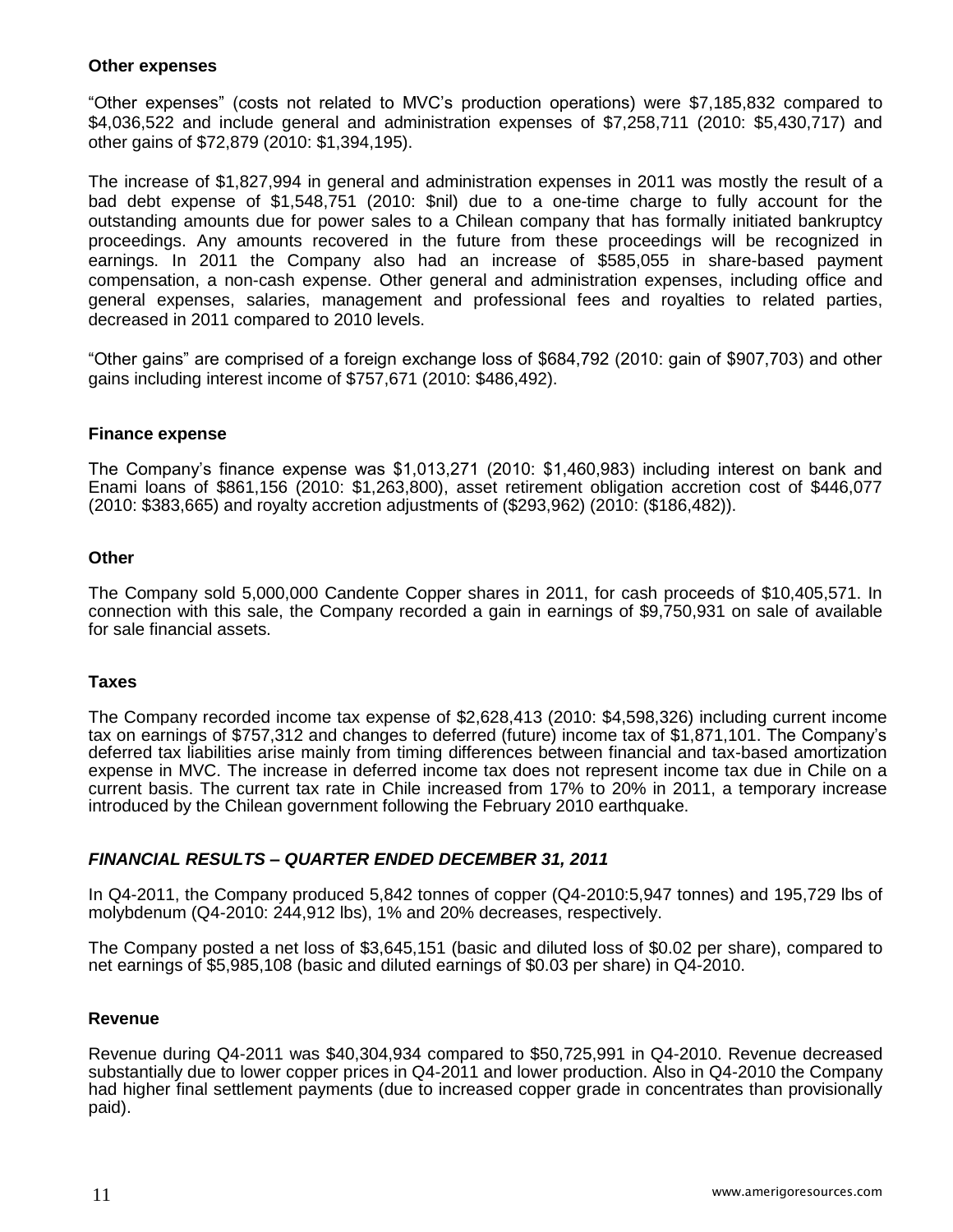#### **Other expenses**

"Other expenses" (costs not related to MVC's production operations) were \$7,185,832 compared to \$4,036,522 and include general and administration expenses of \$7,258,711 (2010: \$5,430,717) and other gains of \$72,879 (2010: \$1,394,195).

The increase of \$1,827,994 in general and administration expenses in 2011 was mostly the result of a bad debt expense of \$1,548,751 (2010: \$nil) due to a one-time charge to fully account for the outstanding amounts due for power sales to a Chilean company that has formally initiated bankruptcy proceedings. Any amounts recovered in the future from these proceedings will be recognized in earnings. In 2011 the Company also had an increase of \$585,055 in share-based payment compensation, a non-cash expense. Other general and administration expenses, including office and general expenses, salaries, management and professional fees and royalties to related parties, decreased in 2011 compared to 2010 levels.

"Other gains" are comprised of a foreign exchange loss of \$684,792 (2010: gain of \$907,703) and other gains including interest income of \$757,671 (2010: \$486,492).

### **Finance expense**

The Company's finance expense was \$1,013,271 (2010: \$1,460,983) including interest on bank and Enami loans of \$861,156 (2010: \$1,263,800), asset retirement obligation accretion cost of \$446,077 (2010: \$383,665) and royalty accretion adjustments of (\$293,962) (2010: (\$186,482)).

#### **Other**

The Company sold 5,000,000 Candente Copper shares in 2011, for cash proceeds of \$10,405,571. In connection with this sale, the Company recorded a gain in earnings of \$9,750,931 on sale of available for sale financial assets.

### **Taxes**

The Company recorded income tax expense of \$2,628,413 (2010: \$4,598,326) including current income tax on earnings of \$757,312 and changes to deferred (future) income tax of \$1,871,101. The Company's deferred tax liabilities arise mainly from timing differences between financial and tax-based amortization expense in MVC. The increase in deferred income tax does not represent income tax due in Chile on a current basis. The current tax rate in Chile increased from 17% to 20% in 2011, a temporary increase introduced by the Chilean government following the February 2010 earthquake.

### *FINANCIAL RESULTS – QUARTER ENDED DECEMBER 31, 2011*

In Q4-2011, the Company produced 5,842 tonnes of copper (Q4-2010:5,947 tonnes) and 195,729 lbs of molybdenum (Q4-2010: 244,912 lbs), 1% and 20% decreases, respectively.

The Company posted a net loss of \$3,645,151 (basic and diluted loss of \$0.02 per share), compared to net earnings of \$5,985,108 (basic and diluted earnings of \$0.03 per share) in Q4-2010.

### **Revenue**

Revenue during Q4-2011 was \$40,304,934 compared to \$50,725,991 in Q4-2010. Revenue decreased substantially due to lower copper prices in Q4-2011 and lower production. Also in Q4-2010 the Company had higher final settlement payments (due to increased copper grade in concentrates than provisionally paid).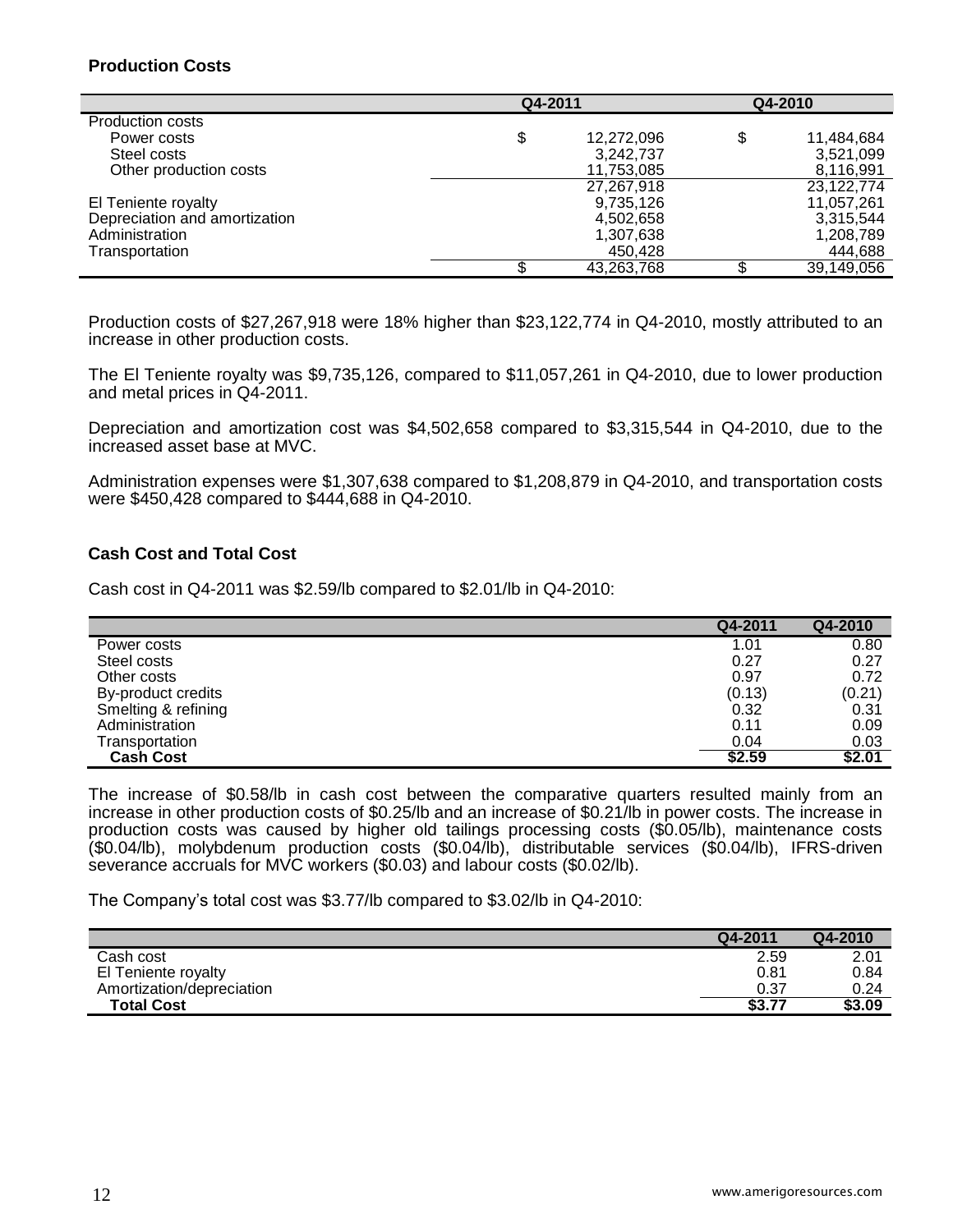# **Production Costs**

|                               | Q4-2011          |    | Q4-2010    |
|-------------------------------|------------------|----|------------|
| Production costs              |                  |    |            |
| Power costs                   | \$<br>12,272,096 | \$ | 11,484,684 |
| Steel costs                   | 3,242,737        |    | 3,521,099  |
| Other production costs        | 11,753,085       |    | 8,116,991  |
|                               | 27,267,918       |    | 23,122,774 |
| El Teniente royalty           | 9,735,126        |    | 11,057,261 |
| Depreciation and amortization | 4,502,658        |    | 3,315,544  |
| Administration                | 1,307,638        |    | 1,208,789  |
| Transportation                | 450.428          |    | 444,688    |
|                               | 43,263,768       |    | 39,149,056 |

Production costs of \$27,267,918 were 18% higher than \$23,122,774 in Q4-2010, mostly attributed to an increase in other production costs.

The El Teniente royalty was \$9,735,126, compared to \$11,057,261 in Q4-2010, due to lower production and metal prices in Q4-2011.

Depreciation and amortization cost was \$4,502,658 compared to \$3,315,544 in Q4-2010, due to the increased asset base at MVC.

Administration expenses were \$1,307,638 compared to \$1,208,879 in Q4-2010, and transportation costs were \$450,428 compared to \$444,688 in Q4-2010.

### **Cash Cost and Total Cost**

Cash cost in Q4-2011 was \$2.59/lb compared to \$2.01/lb in Q4-2010:

|                     | Q4-2011 | Q4-2010 |
|---------------------|---------|---------|
| Power costs         | 1.01    | 0.80    |
| Steel costs         | 0.27    | 0.27    |
| Other costs         | 0.97    | 0.72    |
| By-product credits  | (0.13)  | (0.21)  |
| Smelting & refining | 0.32    | 0.31    |
| Administration      | 0.11    | 0.09    |
| Transportation      | 0.04    | 0.03    |
| <b>Cash Cost</b>    | \$2.59  | \$2.01  |

The increase of \$0.58/lb in cash cost between the comparative quarters resulted mainly from an increase in other production costs of \$0.25/lb and an increase of \$0.21/lb in power costs. The increase in production costs was caused by higher old tailings processing costs (\$0.05/lb), maintenance costs (\$0.04/lb), molybdenum production costs (\$0.04/lb), distributable services (\$0.04/lb), IFRS-driven severance accruals for MVC workers (\$0.03) and labour costs (\$0.02/lb).

The Company's total cost was \$3.77/lb compared to \$3.02/lb in Q4-2010:

|                           | Q4-2011 | Q4-2010 |
|---------------------------|---------|---------|
| Cash cost                 | 2.59    | 2.01    |
| El Teniente royalty       | 0.81    | 0.84    |
| Amortization/depreciation | 0.37    | 0.24    |
| <b>Total Cost</b>         | \$3.77  | \$3.09  |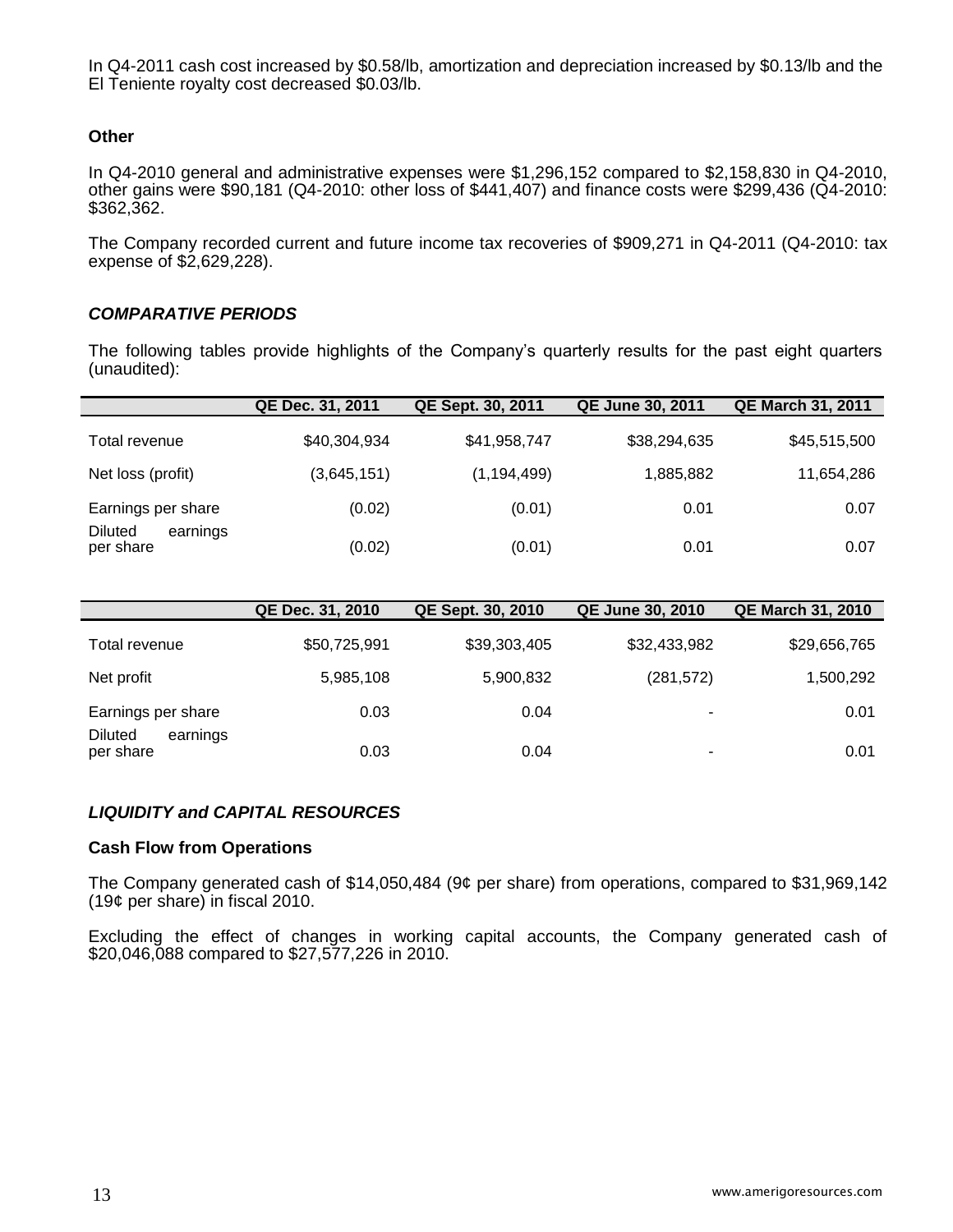In Q4-2011 cash cost increased by \$0.58/lb, amortization and depreciation increased by \$0.13/lb and the El Teniente royalty cost decreased \$0.03/lb.

### **Other**

In Q4-2010 general and administrative expenses were \$1,296,152 compared to \$2,158,830 in Q4-2010, other gains were \$90,181 (Q4-2010: other loss of \$441,407) and finance costs were \$299,436 (Q4-2010: \$362,362.

The Company recorded current and future income tax recoveries of \$909,271 in Q4-2011 (Q4-2010: tax expense of \$2,629,228).

### *COMPARATIVE PERIODS*

The following tables provide highlights of the Company's quarterly results for the past eight quarters (unaudited):

|                                         | QE Dec. 31, 2011 | QE Sept. 30, 2011 | <b>QE June 30, 2011</b> | <b>QE March 31, 2011</b> |
|-----------------------------------------|------------------|-------------------|-------------------------|--------------------------|
| Total revenue                           | \$40,304,934     | \$41,958,747      | \$38,294,635            | \$45,515,500             |
| Net loss (profit)                       | (3,645,151)      | (1, 194, 499)     | 1,885,882               | 11,654,286               |
| Earnings per share                      | (0.02)           | (0.01)            | 0.01                    | 0.07                     |
| <b>Diluted</b><br>earnings<br>per share | (0.02)           | (0.01)            | 0.01                    | 0.07                     |

|                                  | QE Dec. 31, 2010 | QE Sept. 30, 2010 | <b>QE June 30, 2010</b>  | <b>QE March 31, 2010</b> |
|----------------------------------|------------------|-------------------|--------------------------|--------------------------|
| Total revenue                    | \$50,725,991     | \$39,303,405      | \$32,433,982             | \$29,656,765             |
| Net profit                       | 5,985,108        | 5,900,832         | (281, 572)               | 1,500,292                |
| Earnings per share               | 0.03             | 0.04              | $\overline{\phantom{0}}$ | 0.01                     |
| Diluted<br>earnings<br>per share | 0.03             | 0.04              | ٠                        | 0.01                     |

### *LIQUIDITY and CAPITAL RESOURCES*

#### **Cash Flow from Operations**

The Company generated cash of \$14,050,484 (9¢ per share) from operations, compared to \$31,969,142 (19¢ per share) in fiscal 2010.

Excluding the effect of changes in working capital accounts, the Company generated cash of \$20,046,088 compared to \$27,577,226 in 2010.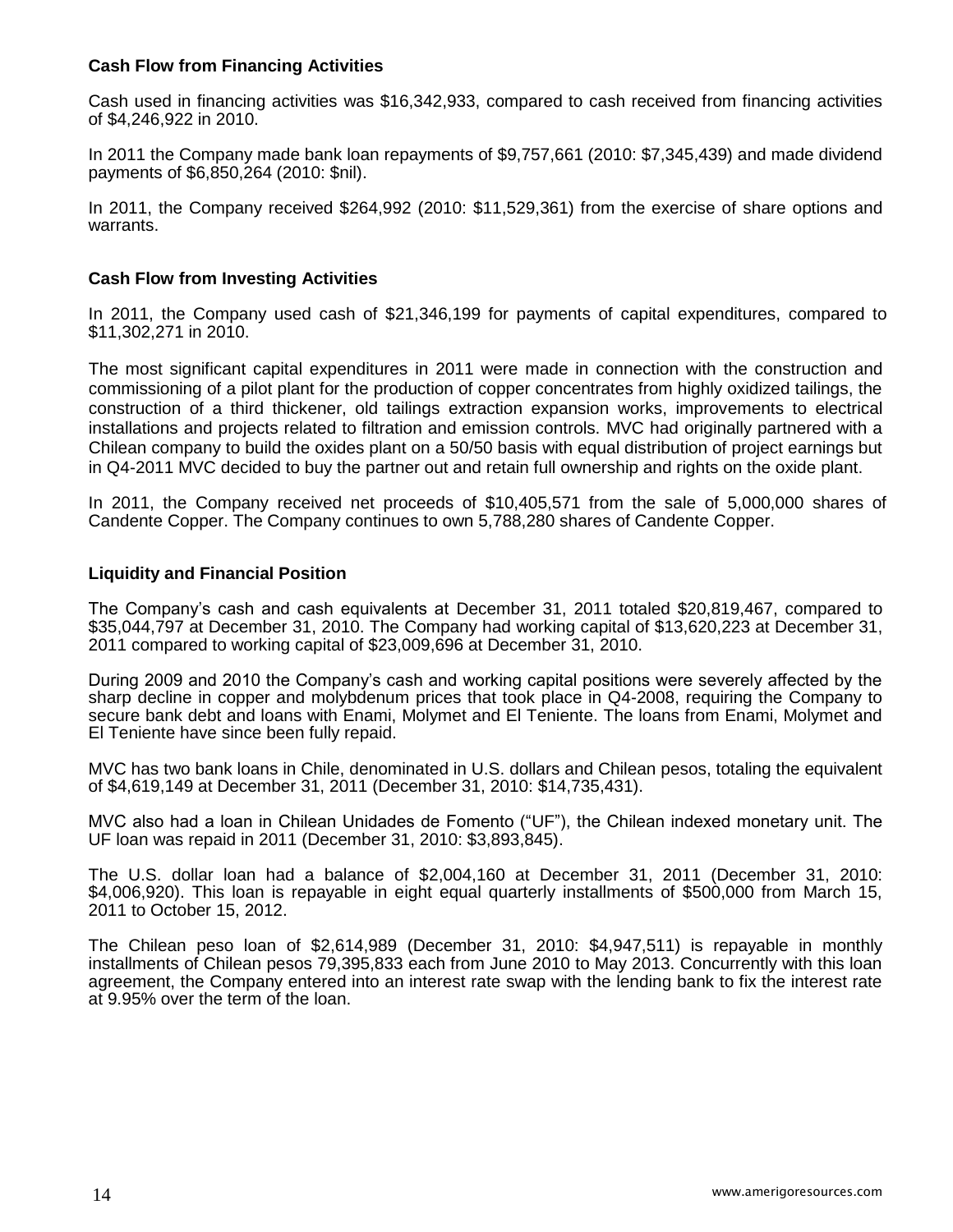### **Cash Flow from Financing Activities**

Cash used in financing activities was \$16,342,933, compared to cash received from financing activities of \$4,246,922 in 2010.

In 2011 the Company made bank loan repayments of \$9,757,661 (2010: \$7,345,439) and made dividend payments of \$6,850,264 (2010: \$nil).

In 2011, the Company received \$264,992 (2010: \$11,529,361) from the exercise of share options and warrants.

### **Cash Flow from Investing Activities**

In 2011, the Company used cash of \$21,346,199 for payments of capital expenditures, compared to \$11,302,271 in 2010.

The most significant capital expenditures in 2011 were made in connection with the construction and commissioning of a pilot plant for the production of copper concentrates from highly oxidized tailings, the construction of a third thickener, old tailings extraction expansion works, improvements to electrical installations and projects related to filtration and emission controls. MVC had originally partnered with a Chilean company to build the oxides plant on a 50/50 basis with equal distribution of project earnings but in Q4-2011 MVC decided to buy the partner out and retain full ownership and rights on the oxide plant.

In 2011, the Company received net proceeds of \$10,405,571 from the sale of 5,000,000 shares of Candente Copper. The Company continues to own 5,788,280 shares of Candente Copper.

### **Liquidity and Financial Position**

The Company's cash and cash equivalents at December 31, 2011 totaled \$20,819,467, compared to \$35,044,797 at December 31, 2010. The Company had working capital of \$13,620,223 at December 31, 2011 compared to working capital of \$23,009,696 at December 31, 2010.

During 2009 and 2010 the Company's cash and working capital positions were severely affected by the sharp decline in copper and molybdenum prices that took place in Q4-2008, requiring the Company to secure bank debt and loans with Enami, Molymet and El Teniente. The loans from Enami, Molymet and El Teniente have since been fully repaid.

MVC has two bank loans in Chile, denominated in U.S. dollars and Chilean pesos, totaling the equivalent of \$4,619,149 at December 31, 2011 (December 31, 2010: \$14,735,431).

MVC also had a loan in Chilean Unidades de Fomento ("UF"), the Chilean indexed monetary unit. The UF loan was repaid in 2011 (December 31, 2010: \$3,893,845).

The U.S. dollar loan had a balance of \$2,004,160 at December 31, 2011 (December 31, 2010: \$4,006,920). This loan is repayable in eight equal quarterly installments of \$500,000 from March 15, 2011 to October 15, 2012.

The Chilean peso loan of \$2,614,989 (December 31, 2010: \$4,947,511) is repayable in monthly installments of Chilean pesos 79,395,833 each from June 2010 to May 2013. Concurrently with this loan agreement, the Company entered into an interest rate swap with the lending bank to fix the interest rate at 9.95% over the term of the loan.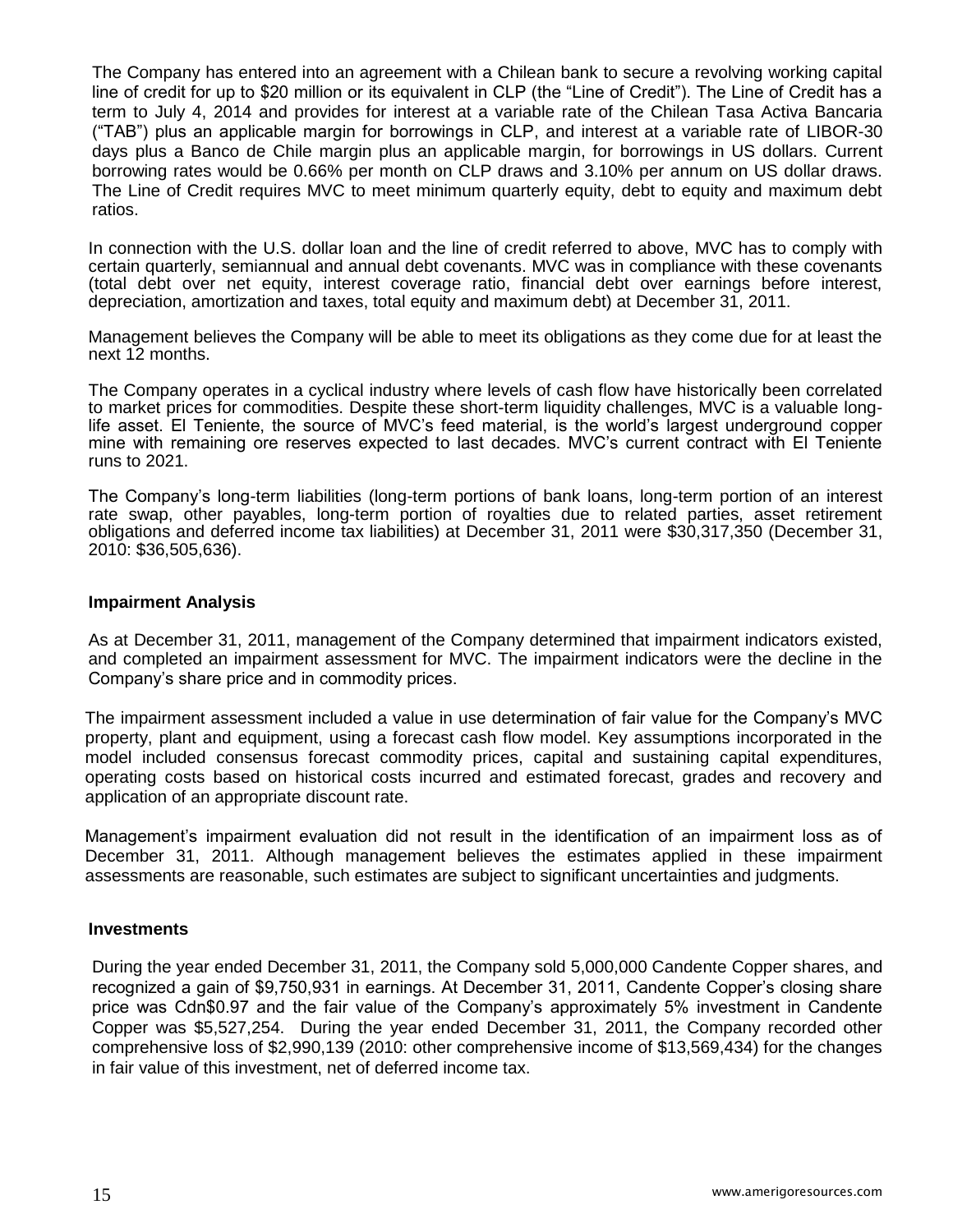The Company has entered into an agreement with a Chilean bank to secure a revolving working capital line of credit for up to \$20 million or its equivalent in CLP (the "Line of Credit"). The Line of Credit has a term to July 4, 2014 and provides for interest at a variable rate of the Chilean Tasa Activa Bancaria ("TAB") plus an applicable margin for borrowings in CLP, and interest at a variable rate of LIBOR-30 days plus a Banco de Chile margin plus an applicable margin, for borrowings in US dollars. Current borrowing rates would be 0.66% per month on CLP draws and 3.10% per annum on US dollar draws. The Line of Credit requires MVC to meet minimum quarterly equity, debt to equity and maximum debt ratios.

In connection with the U.S. dollar loan and the line of credit referred to above, MVC has to comply with certain quarterly, semiannual and annual debt covenants. MVC was in compliance with these covenants (total debt over net equity, interest coverage ratio, financial debt over earnings before interest, depreciation, amortization and taxes, total equity and maximum debt) at December 31, 2011.

Management believes the Company will be able to meet its obligations as they come due for at least the next 12 months.

The Company operates in a cyclical industry where levels of cash flow have historically been correlated to market prices for commodities. Despite these short-term liquidity challenges, MVC is a valuable longlife asset. El Teniente, the source of MVC's feed material, is the world's largest underground copper mine with remaining ore reserves expected to last decades. MVC's current contract with El Teniente runs to 2021.

The Company's long-term liabilities (long-term portions of bank loans, long-term portion of an interest rate swap, other payables, long-term portion of royalties due to related parties, asset retirement obligations and deferred income tax liabilities) at December 31, 2011 were \$30,317,350 (December 31, 2010: \$36,505,636).

#### **Impairment Analysis**

As at December 31, 2011, management of the Company determined that impairment indicators existed, and completed an impairment assessment for MVC. The impairment indicators were the decline in the Company's share price and in commodity prices.

The impairment assessment included a value in use determination of fair value for the Company's MVC property, plant and equipment, using a forecast cash flow model. Key assumptions incorporated in the model included consensus forecast commodity prices, capital and sustaining capital expenditures, operating costs based on historical costs incurred and estimated forecast, grades and recovery and application of an appropriate discount rate.

Management's impairment evaluation did not result in the identification of an impairment loss as of December 31, 2011. Although management believes the estimates applied in these impairment assessments are reasonable, such estimates are subject to significant uncertainties and judgments.

### **Investments**

During the year ended December 31, 2011, the Company sold 5,000,000 Candente Copper shares, and recognized a gain of \$9,750,931 in earnings. At December 31, 2011, Candente Copper's closing share price was Cdn\$0.97 and the fair value of the Company's approximately 5% investment in Candente Copper was \$5,527,254. During the year ended December 31, 2011, the Company recorded other comprehensive loss of \$2,990,139 (2010: other comprehensive income of \$13,569,434) for the changes in fair value of this investment, net of deferred income tax.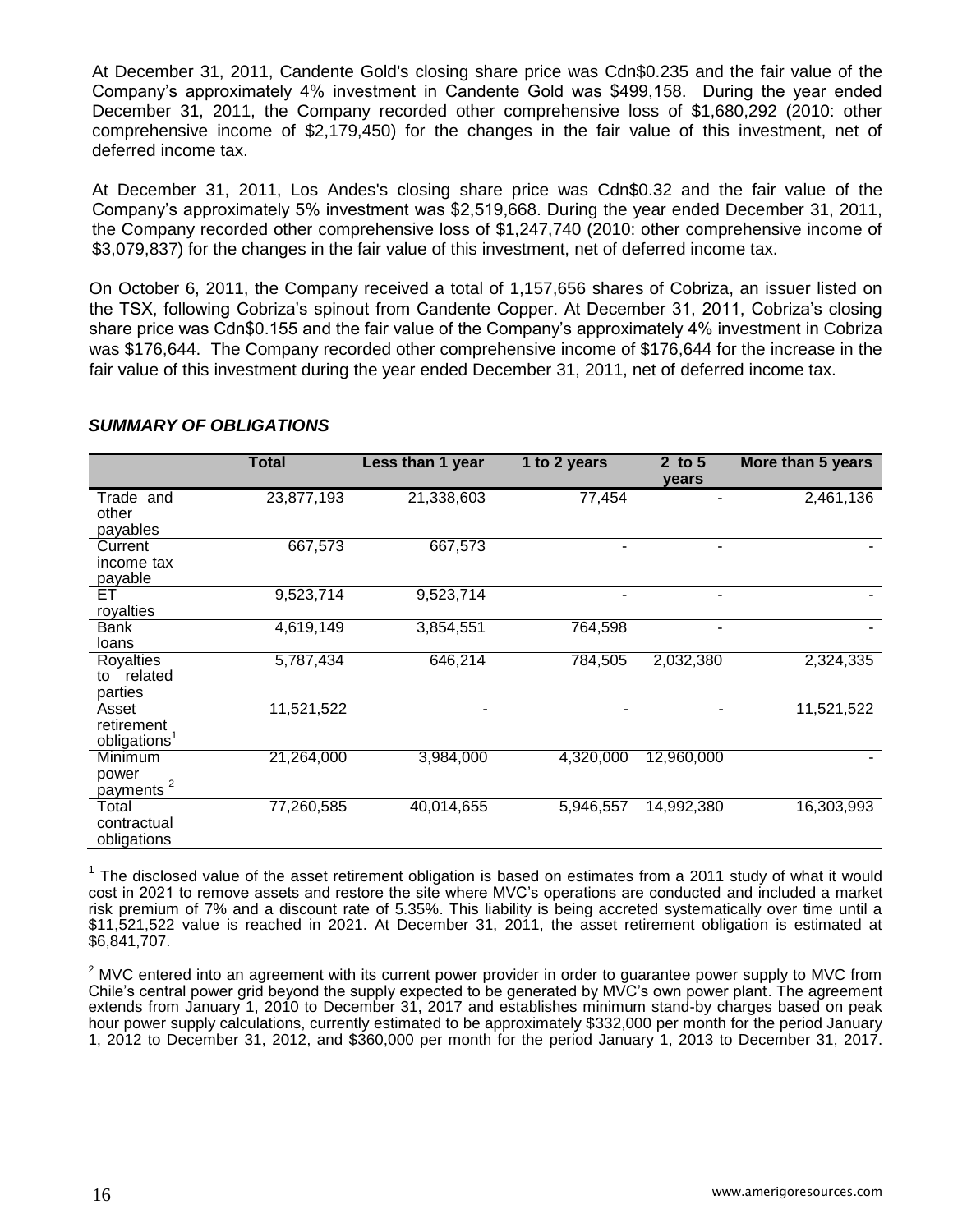At December 31, 2011, Candente Gold's closing share price was Cdn\$0.235 and the fair value of the Company's approximately 4% investment in Candente Gold was \$499,158. During the year ended December 31, 2011, the Company recorded other comprehensive loss of \$1,680,292 (2010: other comprehensive income of \$2,179,450) for the changes in the fair value of this investment, net of deferred income tax.

At December 31, 2011, Los Andes's closing share price was Cdn\$0.32 and the fair value of the Company's approximately 5% investment was \$2,519,668. During the year ended December 31, 2011, the Company recorded other comprehensive loss of \$1,247,740 (2010: other comprehensive income of \$3,079,837) for the changes in the fair value of this investment, net of deferred income tax.

On October 6, 2011, the Company received a total of 1,157,656 shares of Cobriza, an issuer listed on the TSX, following Cobriza's spinout from Candente Copper. At December 31, 2011, Cobriza's closing share price was Cdn\$0.155 and the fair value of the Company's approximately 4% investment in Cobriza was \$176,644. The Company recorded other comprehensive income of \$176,644 for the increase in the fair value of this investment during the year ended December 31, 2011, net of deferred income tax.

|                                                 | <b>Total</b> | Less than 1 year       | 1 to 2 years | 2 to $5$<br>years | More than 5 years |
|-------------------------------------------------|--------------|------------------------|--------------|-------------------|-------------------|
| Trade and<br>other<br>payables                  | 23,877,193   | 21,338,603             | 77,454       |                   | 2,461,136         |
| Current<br>income tax<br>payable                | 667,573      | 667,573                | ۰            | ۰                 |                   |
| ET<br>royalties                                 | 9,523,714    | $9,523,7\overline{14}$ | ۰            | ۰                 |                   |
| <b>Bank</b><br>loans                            | 4,619,149    | 3,854,551              | 764,598      | -                 |                   |
| <b>Royalties</b><br>related<br>to<br>parties    | 5,787,434    | 646,214                | 784,505      | 2,032,380         | 2,324,335         |
| Asset<br>retirement<br>obligations <sup>1</sup> | 11,521,522   | ۰                      |              | ۰                 | 11,521,522        |
| Minimum<br>power<br>2<br>payments               | 21,264,000   | 3,984,000              | 4,320,000    | 12,960,000        |                   |
| Total<br>contractual<br>obligations             | 77,260,585   | 40,014,655             | 5,946,557    | 14,992,380        | 16,303,993        |

### *SUMMARY OF OBLIGATIONS*

 $1$  The disclosed value of the asset retirement obligation is based on estimates from a 2011 study of what it would cost in 2021 to remove assets and restore the site where MVC's operations are conducted and included a market risk premium of 7% and a discount rate of 5.35%. This liability is being accreted systematically over time until a \$11,521,522 value is reached in 2021. At December 31, 2011, the asset retirement obligation is estimated at \$6,841,707.

 $2<sup>2</sup>$  MVC entered into an agreement with its current power provider in order to guarantee power supply to MVC from Chile's central power grid beyond the supply expected to be generated by MVC's own power plant. The agreement extends from January 1, 2010 to December 31, 2017 and establishes minimum stand-by charges based on peak hour power supply calculations, currently estimated to be approximately \$332,000 per month for the period January 1, 2012 to December 31, 2012, and \$360,000 per month for the period January 1, 2013 to December 31, 2017.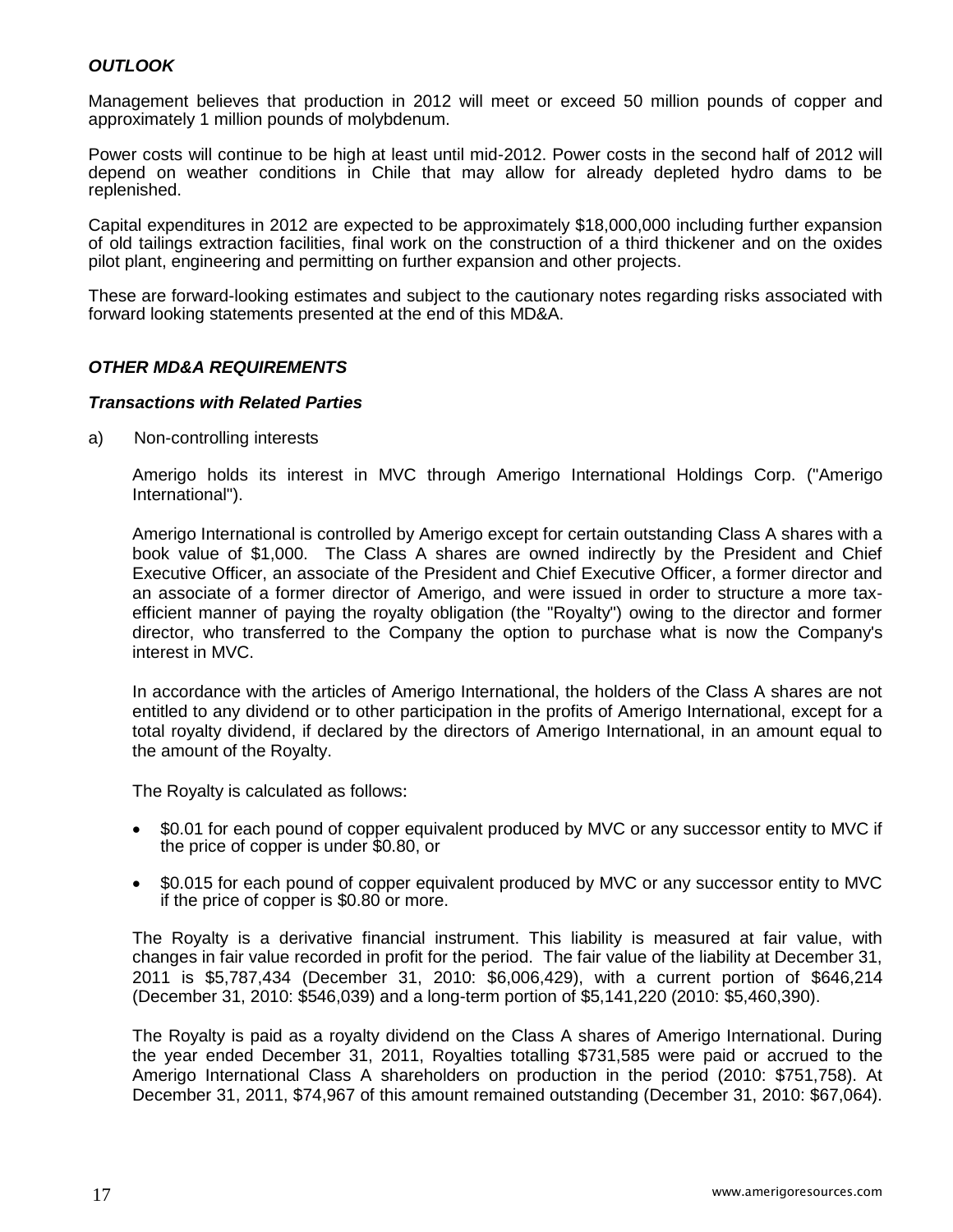# *OUTLOOK*

Management believes that production in 2012 will meet or exceed 50 million pounds of copper and approximately 1 million pounds of molybdenum.

Power costs will continue to be high at least until mid-2012. Power costs in the second half of 2012 will depend on weather conditions in Chile that may allow for already depleted hydro dams to be replenished.

Capital expenditures in 2012 are expected to be approximately \$18,000,000 including further expansion of old tailings extraction facilities, final work on the construction of a third thickener and on the oxides pilot plant, engineering and permitting on further expansion and other projects.

These are forward-looking estimates and subject to the cautionary notes regarding risks associated with forward looking statements presented at the end of this MD&A.

### *OTHER MD&A REQUIREMENTS*

#### *Transactions with Related Parties*

a) Non-controlling interests

Amerigo holds its interest in MVC through Amerigo International Holdings Corp. ("Amerigo International").

Amerigo International is controlled by Amerigo except for certain outstanding Class A shares with a book value of \$1,000. The Class A shares are owned indirectly by the President and Chief Executive Officer, an associate of the President and Chief Executive Officer, a former director and an associate of a former director of Amerigo, and were issued in order to structure a more taxefficient manner of paying the royalty obligation (the "Royalty") owing to the director and former director, who transferred to the Company the option to purchase what is now the Company's interest in MVC.

In accordance with the articles of Amerigo International, the holders of the Class A shares are not entitled to any dividend or to other participation in the profits of Amerigo International, except for a total royalty dividend, if declared by the directors of Amerigo International, in an amount equal to the amount of the Royalty.

The Royalty is calculated as follows:

- \$0.01 for each pound of copper equivalent produced by MVC or any successor entity to MVC if the price of copper is under \$0.80, or
- \$0.015 for each pound of copper equivalent produced by MVC or any successor entity to MVC if the price of copper is \$0.80 or more.

The Royalty is a derivative financial instrument. This liability is measured at fair value, with changes in fair value recorded in profit for the period. The fair value of the liability at December 31, 2011 is \$5,787,434 (December 31, 2010: \$6,006,429), with a current portion of \$646,214 (December 31, 2010: \$546,039) and a long-term portion of \$5,141,220 (2010: \$5,460,390).

The Royalty is paid as a royalty dividend on the Class A shares of Amerigo International. During the year ended December 31, 2011, Royalties totalling \$731,585 were paid or accrued to the Amerigo International Class A shareholders on production in the period (2010: \$751,758). At December 31, 2011, \$74,967 of this amount remained outstanding (December 31, 2010: \$67,064).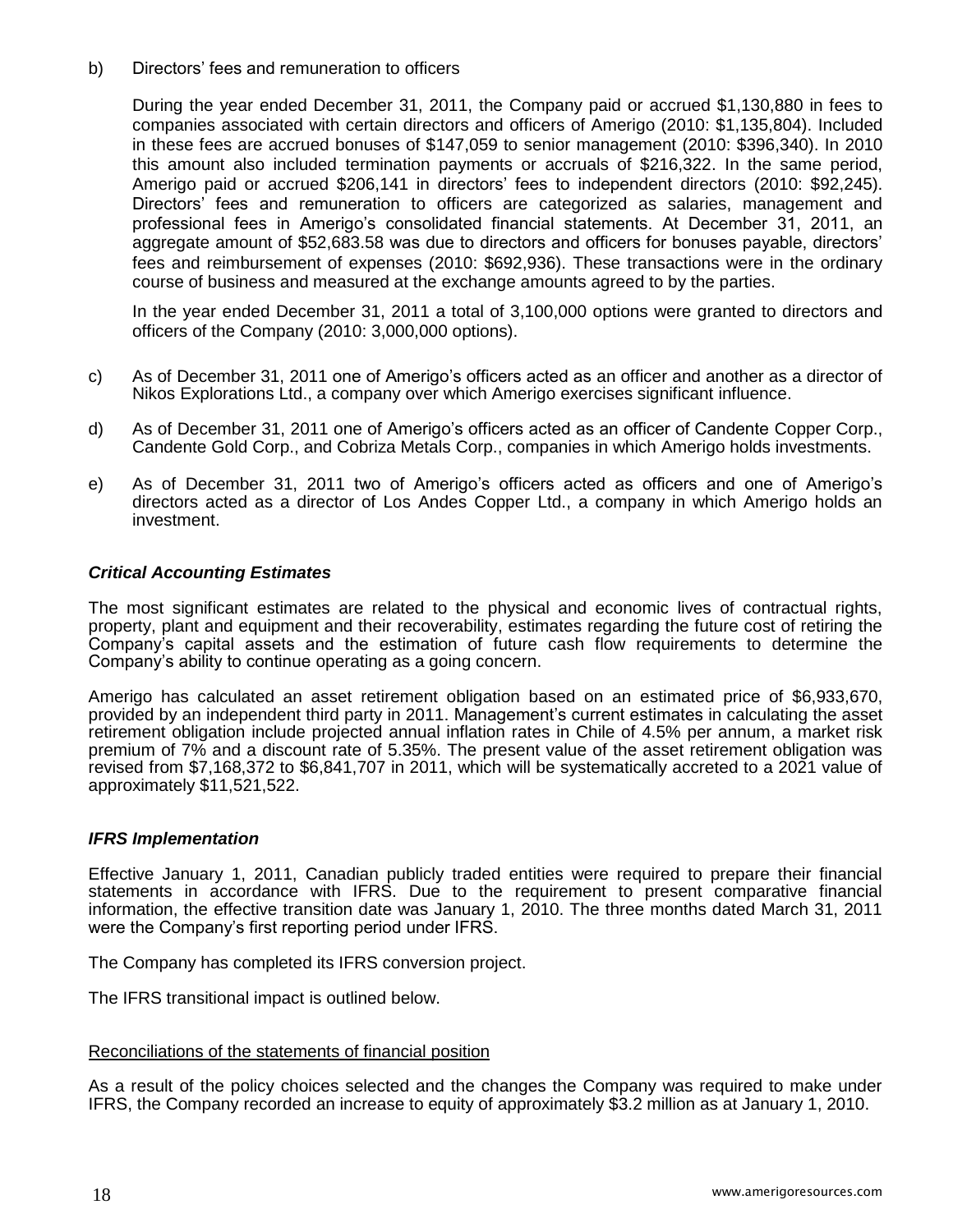b) Directors' fees and remuneration to officers

During the year ended December 31, 2011, the Company paid or accrued \$1,130,880 in fees to companies associated with certain directors and officers of Amerigo (2010: \$1,135,804). Included in these fees are accrued bonuses of \$147,059 to senior management (2010: \$396,340). In 2010 this amount also included termination payments or accruals of \$216,322. In the same period, Amerigo paid or accrued \$206,141 in directors' fees to independent directors (2010: \$92,245). Directors' fees and remuneration to officers are categorized as salaries, management and professional fees in Amerigo's consolidated financial statements. At December 31, 2011, an aggregate amount of \$52,683.58 was due to directors and officers for bonuses payable, directors' fees and reimbursement of expenses (2010: \$692,936). These transactions were in the ordinary course of business and measured at the exchange amounts agreed to by the parties.

In the year ended December 31, 2011 a total of 3,100,000 options were granted to directors and officers of the Company (2010: 3,000,000 options).

- c) As of December 31, 2011 one of Amerigo's officers acted as an officer and another as a director of Nikos Explorations Ltd., a company over which Amerigo exercises significant influence.
- d) As of December 31, 2011 one of Amerigo's officers acted as an officer of Candente Copper Corp., Candente Gold Corp., and Cobriza Metals Corp., companies in which Amerigo holds investments.
- e) As of December 31, 2011 two of Amerigo's officers acted as officers and one of Amerigo's directors acted as a director of Los Andes Copper Ltd., a company in which Amerigo holds an investment.

### *Critical Accounting Estimates*

The most significant estimates are related to the physical and economic lives of contractual rights, property, plant and equipment and their recoverability, estimates regarding the future cost of retiring the Company's capital assets and the estimation of future cash flow requirements to determine the Company's ability to continue operating as a going concern.

Amerigo has calculated an asset retirement obligation based on an estimated price of \$6,933,670, provided by an independent third party in 2011. Management's current estimates in calculating the asset retirement obligation include projected annual inflation rates in Chile of 4.5% per annum, a market risk premium of 7% and a discount rate of 5.35%. The present value of the asset retirement obligation was revised from \$7,168,372 to \$6,841,707 in 2011, which will be systematically accreted to a 2021 value of approximately \$11,521,522.

### *IFRS Implementation*

Effective January 1, 2011, Canadian publicly traded entities were required to prepare their financial statements in accordance with IFRS. Due to the requirement to present comparative financial information, the effective transition date was January 1, 2010. The three months dated March 31, 2011 were the Company's first reporting period under IFRS.

The Company has completed its IFRS conversion project.

The IFRS transitional impact is outlined below.

#### Reconciliations of the statements of financial position

As a result of the policy choices selected and the changes the Company was required to make under IFRS, the Company recorded an increase to equity of approximately \$3.2 million as at January 1, 2010.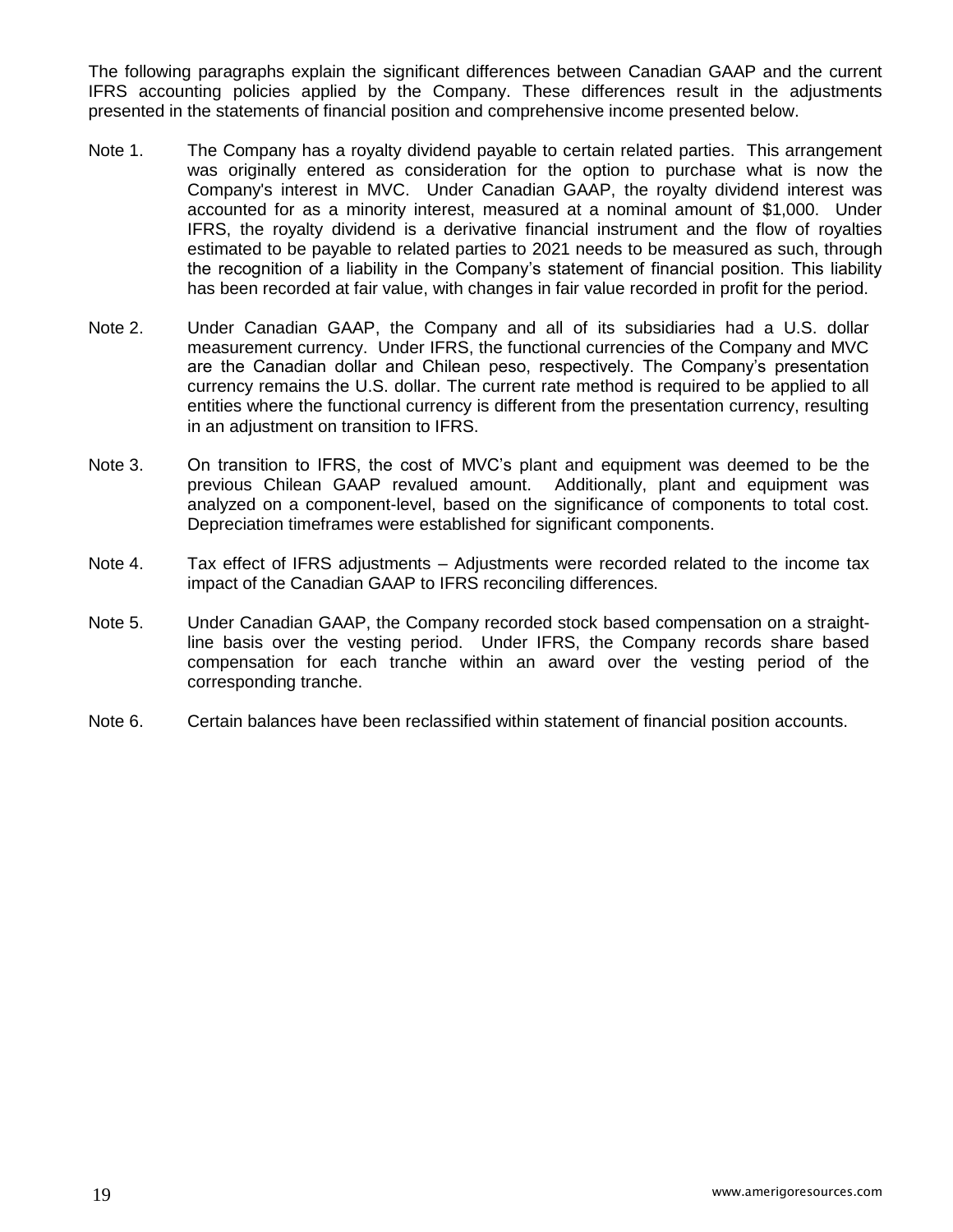The following paragraphs explain the significant differences between Canadian GAAP and the current IFRS accounting policies applied by the Company. These differences result in the adjustments presented in the statements of financial position and comprehensive income presented below.

- Note 1. The Company has a royalty dividend payable to certain related parties. This arrangement was originally entered as consideration for the option to purchase what is now the Company's interest in MVC. Under Canadian GAAP, the royalty dividend interest was accounted for as a minority interest, measured at a nominal amount of \$1,000. Under IFRS, the royalty dividend is a derivative financial instrument and the flow of royalties estimated to be payable to related parties to 2021 needs to be measured as such, through the recognition of a liability in the Company's statement of financial position. This liability has been recorded at fair value, with changes in fair value recorded in profit for the period.
- Note 2. Under Canadian GAAP, the Company and all of its subsidiaries had a U.S. dollar measurement currency. Under IFRS, the functional currencies of the Company and MVC are the Canadian dollar and Chilean peso, respectively. The Company's presentation currency remains the U.S. dollar. The current rate method is required to be applied to all entities where the functional currency is different from the presentation currency, resulting in an adjustment on transition to IFRS.
- Note 3. On transition to IFRS, the cost of MVC's plant and equipment was deemed to be the previous Chilean GAAP revalued amount. Additionally, plant and equipment was analyzed on a component-level, based on the significance of components to total cost. Depreciation timeframes were established for significant components.
- Note 4. Tax effect of IFRS adjustments Adjustments were recorded related to the income tax impact of the Canadian GAAP to IFRS reconciling differences.
- Note 5. Under Canadian GAAP, the Company recorded stock based compensation on a straightline basis over the vesting period. Under IFRS, the Company records share based compensation for each tranche within an award over the vesting period of the corresponding tranche.
- Note 6. Certain balances have been reclassified within statement of financial position accounts.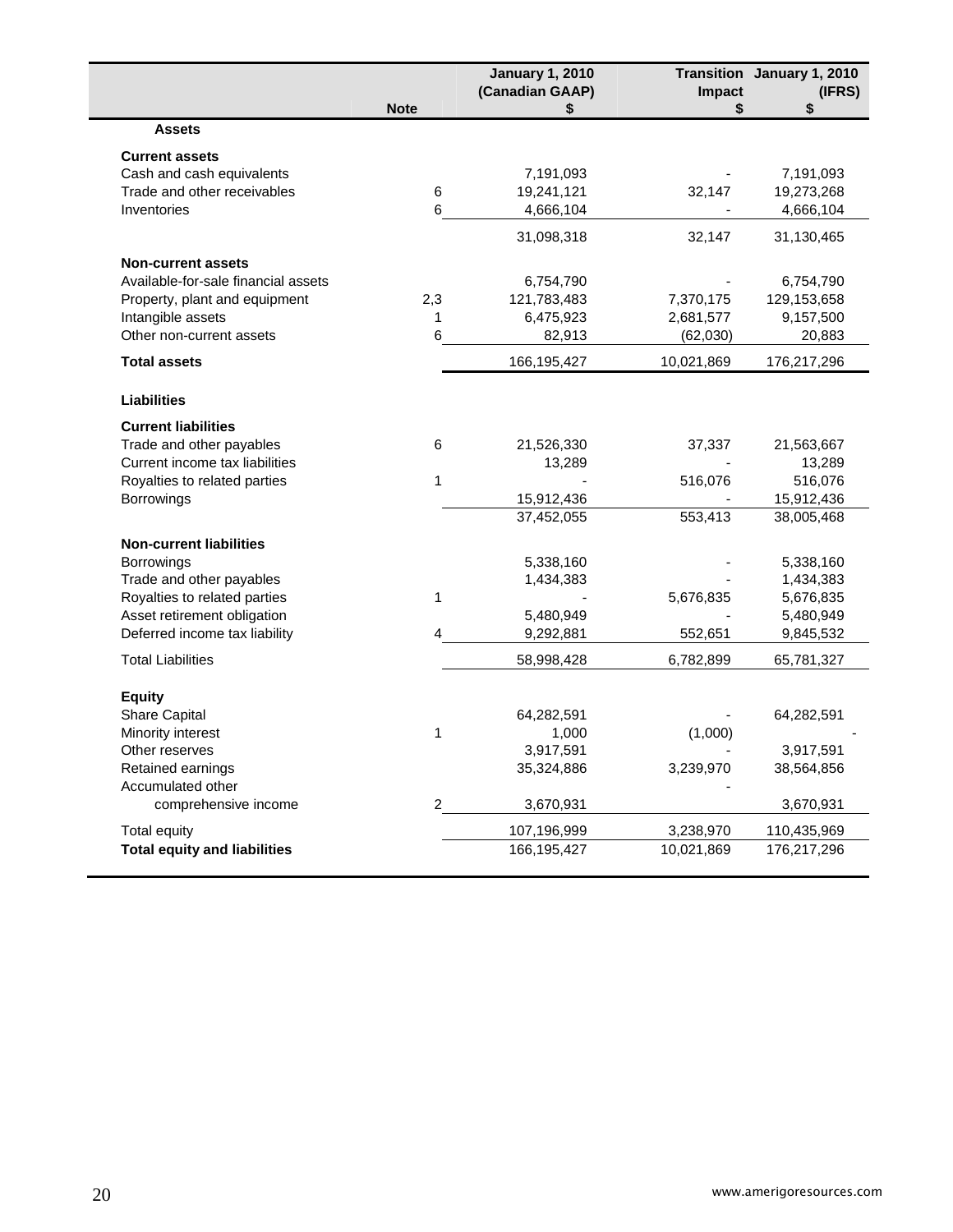|                                     |              | <b>January 1, 2010</b><br>(Canadian GAAP) | Impact     | Transition January 1, 2010<br>(IFRS) |
|-------------------------------------|--------------|-------------------------------------------|------------|--------------------------------------|
|                                     | <b>Note</b>  | \$                                        | \$         | \$                                   |
| <b>Assets</b>                       |              |                                           |            |                                      |
| <b>Current assets</b>               |              |                                           |            |                                      |
| Cash and cash equivalents           |              | 7,191,093                                 |            | 7,191,093                            |
| Trade and other receivables         | 6            | 19,241,121                                | 32,147     | 19,273,268                           |
| Inventories                         | 6            | 4,666,104                                 |            | 4,666,104                            |
|                                     |              | 31,098,318                                | 32,147     | 31,130,465                           |
| <b>Non-current assets</b>           |              |                                           |            |                                      |
| Available-for-sale financial assets |              | 6,754,790                                 |            | 6,754,790                            |
| Property, plant and equipment       | 2,3          | 121,783,483                               | 7,370,175  | 129,153,658                          |
| Intangible assets                   | 1            | 6,475,923                                 | 2,681,577  | 9,157,500                            |
| Other non-current assets            | 6            | 82,913                                    | (62,030)   | 20,883                               |
| <b>Total assets</b>                 |              | 166,195,427                               | 10,021,869 | 176,217,296                          |
| <b>Liabilities</b>                  |              |                                           |            |                                      |
| <b>Current liabilities</b>          |              |                                           |            |                                      |
| Trade and other payables            | 6            | 21,526,330                                | 37,337     | 21,563,667                           |
| Current income tax liabilities      |              | 13,289                                    |            | 13,289                               |
| Royalties to related parties        | $\mathbf{1}$ |                                           | 516,076    | 516,076                              |
| Borrowings                          |              | 15,912,436                                |            | 15,912,436                           |
|                                     |              | 37,452,055                                | 553,413    | 38,005,468                           |
| <b>Non-current liabilities</b>      |              |                                           |            |                                      |
| Borrowings                          |              | 5,338,160                                 |            | 5,338,160                            |
| Trade and other payables            |              | 1,434,383                                 |            | 1,434,383                            |
| Royalties to related parties        | 1            |                                           | 5,676,835  | 5,676,835                            |
| Asset retirement obligation         |              | 5,480,949                                 |            | 5,480,949                            |
| Deferred income tax liability       | 4            | 9,292,881                                 | 552,651    | 9,845,532                            |
| <b>Total Liabilities</b>            |              | 58,998,428                                | 6,782,899  | 65,781,327                           |
|                                     |              |                                           |            |                                      |
| <b>Equity</b><br>Share Capital      |              | 64,282,591                                |            | 64,282,591                           |
| Minority interest                   | $\mathbf 1$  | 1,000                                     | (1,000)    |                                      |
| Other reserves                      |              | 3,917,591                                 |            | 3,917,591                            |
| Retained earnings                   |              | 35,324,886                                | 3,239,970  | 38,564,856                           |
| Accumulated other                   |              |                                           |            |                                      |
| comprehensive income                | 2            | 3,670,931                                 |            | 3,670,931                            |
| Total equity                        |              | 107,196,999                               | 3,238,970  | 110,435,969                          |
| <b>Total equity and liabilities</b> |              | 166,195,427                               | 10,021,869 | 176,217,296                          |
|                                     |              |                                           |            |                                      |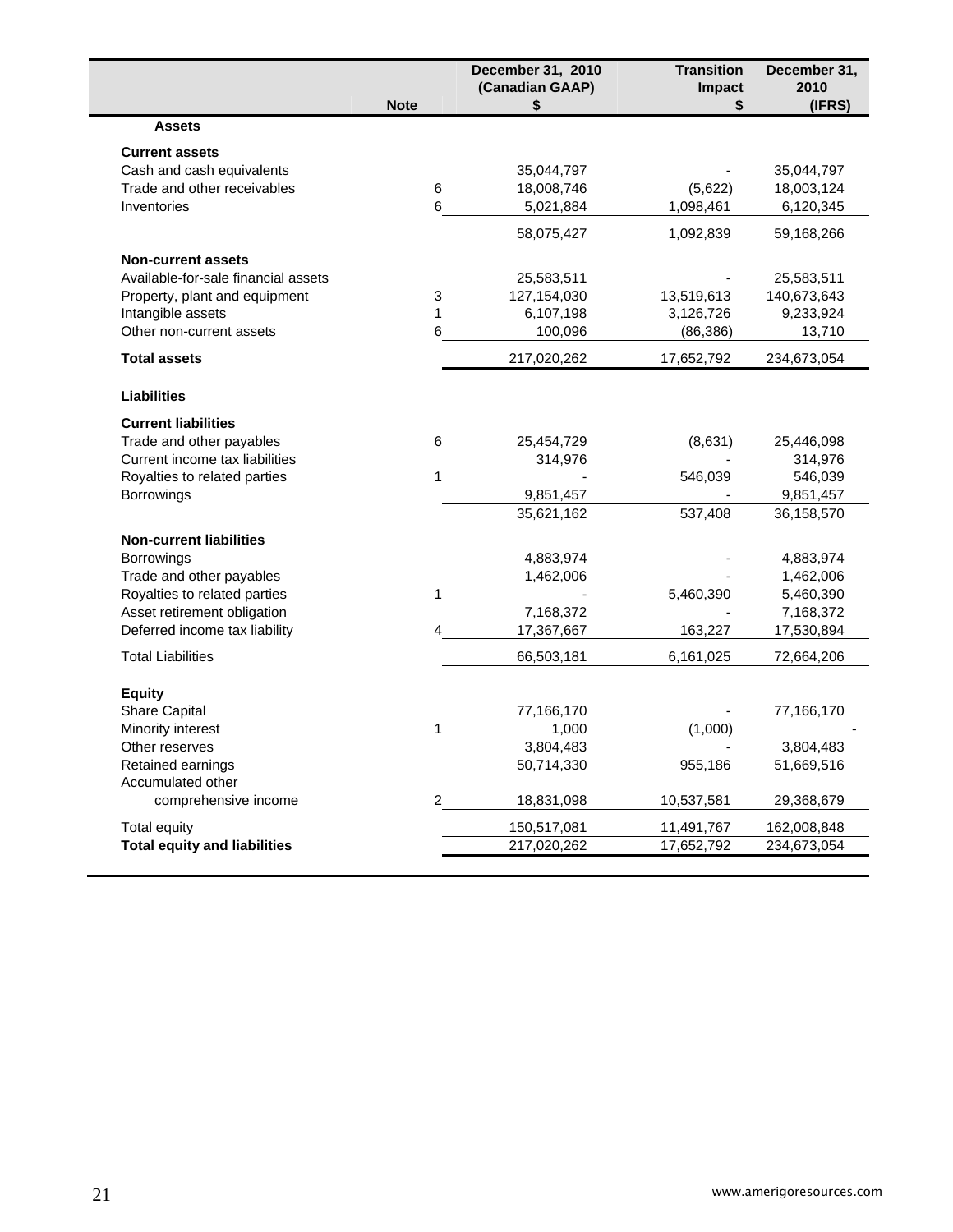|                                     | <b>Note</b>    | December 31, 2010<br>(Canadian GAAP)<br>\$ | <b>Transition</b><br>Impact<br>\$ | December 31,<br>2010<br>(IFRS) |
|-------------------------------------|----------------|--------------------------------------------|-----------------------------------|--------------------------------|
| <b>Assets</b>                       |                |                                            |                                   |                                |
| <b>Current assets</b>               |                |                                            |                                   |                                |
| Cash and cash equivalents           |                | 35,044,797                                 |                                   | 35,044,797                     |
| Trade and other receivables         | 6              | 18,008,746                                 | (5,622)                           | 18,003,124                     |
| Inventories                         | 6              | 5,021,884                                  | 1,098,461                         | 6,120,345                      |
|                                     |                | 58,075,427                                 | 1,092,839                         | 59,168,266                     |
| <b>Non-current assets</b>           |                |                                            |                                   |                                |
| Available-for-sale financial assets |                | 25,583,511                                 |                                   | 25,583,511                     |
| Property, plant and equipment       | 3              | 127, 154, 030                              | 13,519,613                        | 140,673,643                    |
| Intangible assets                   | 1              | 6,107,198                                  | 3,126,726                         | 9,233,924                      |
| Other non-current assets            | 6              | 100,096                                    | (86, 386)                         | 13,710                         |
| <b>Total assets</b>                 |                | 217,020,262                                | 17,652,792                        | 234,673,054                    |
| <b>Liabilities</b>                  |                |                                            |                                   |                                |
| <b>Current liabilities</b>          |                |                                            |                                   |                                |
| Trade and other payables            | 6              | 25,454,729                                 | (8,631)                           | 25,446,098                     |
| Current income tax liabilities      |                | 314,976                                    |                                   | 314,976                        |
| Royalties to related parties        | $\mathbf{1}$   |                                            | 546,039                           | 546,039                        |
| Borrowings                          |                | 9,851,457                                  |                                   | 9,851,457                      |
|                                     |                | 35,621,162                                 | 537,408                           | 36,158,570                     |
| <b>Non-current liabilities</b>      |                |                                            |                                   |                                |
| Borrowings                          |                | 4,883,974                                  |                                   | 4,883,974                      |
| Trade and other payables            |                | 1,462,006                                  |                                   | 1,462,006                      |
| Royalties to related parties        | $\mathbf{1}$   |                                            | 5,460,390                         | 5,460,390                      |
| Asset retirement obligation         |                | 7,168,372                                  |                                   | 7,168,372                      |
| Deferred income tax liability       | 4              | 17,367,667                                 | 163,227                           | 17,530,894                     |
| <b>Total Liabilities</b>            |                | 66,503,181                                 | 6,161,025                         | 72,664,206                     |
| <b>Equity</b>                       |                |                                            |                                   |                                |
| Share Capital                       |                | 77,166,170                                 |                                   | 77,166,170                     |
| Minority interest                   | $\mathbf{1}$   | 1,000                                      | (1,000)                           |                                |
| Other reserves                      |                | 3,804,483                                  |                                   | 3,804,483                      |
| Retained earnings                   |                | 50,714,330                                 | 955,186                           | 51,669,516                     |
| Accumulated other                   |                |                                            |                                   |                                |
| comprehensive income                | $\overline{2}$ | 18,831,098                                 | 10,537,581                        | 29,368,679                     |
| <b>Total equity</b>                 |                | 150,517,081                                | 11,491,767                        | 162,008,848                    |
| <b>Total equity and liabilities</b> |                | 217,020,262                                | 17,652,792                        | 234,673,054                    |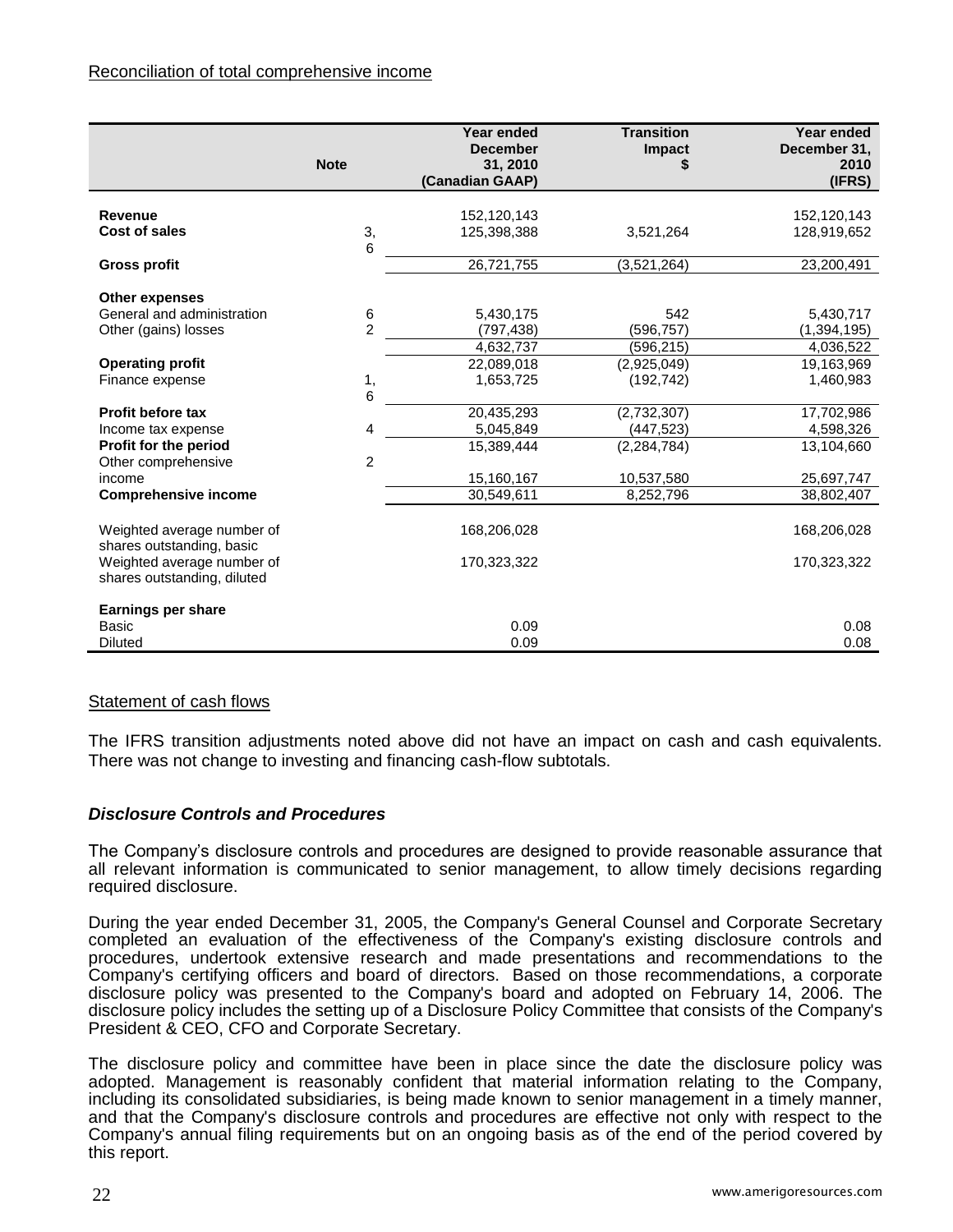|                                                           | <b>Note</b>    | Year ended<br><b>December</b><br>31, 2010<br>(Canadian GAAP) | <b>Transition</b><br>Impact | Year ended<br>December 31,<br>2010<br>(IFRS) |
|-----------------------------------------------------------|----------------|--------------------------------------------------------------|-----------------------------|----------------------------------------------|
| Revenue<br><b>Cost of sales</b>                           | 3,<br>6        | 152,120,143<br>125,398,388                                   | 3,521,264                   | 152,120,143<br>128,919,652                   |
| <b>Gross profit</b>                                       |                | 26,721,755                                                   | (3,521,264)                 | 23,200,491                                   |
| <b>Other expenses</b><br>General and administration       | 6              | 5,430,175                                                    | 542                         | 5,430,717                                    |
| Other (gains) losses                                      | $\overline{2}$ | (797, 438)<br>4,632,737                                      | (596,757)<br>(596,215)      | (1, 394, 195)<br>4,036,522                   |
| <b>Operating profit</b><br>Finance expense                | 1,             | 22,089,018<br>1,653,725                                      | (2,925,049)<br>(192, 742)   | 19,163,969<br>1,460,983                      |
| <b>Profit before tax</b><br>Income tax expense            | 6<br>4         | 20,435,293<br>5,045,849                                      | (2,732,307)<br>(447, 523)   | 17,702,986<br>4,598,326                      |
| Profit for the period<br>Other comprehensive<br>income    | $\overline{c}$ | 15,389,444<br>15,160,167                                     | (2, 284, 784)<br>10,537,580 | 13,104,660<br>25,697,747                     |
| <b>Comprehensive income</b>                               |                | 30,549,611                                                   | 8,252,796                   | 38,802,407                                   |
| Weighted average number of<br>shares outstanding, basic   |                | 168,206,028                                                  |                             | 168,206,028                                  |
| Weighted average number of<br>shares outstanding, diluted |                | 170,323,322                                                  |                             | 170,323,322                                  |
| Earnings per share                                        |                |                                                              |                             |                                              |
| <b>Basic</b><br><b>Diluted</b>                            |                | 0.09<br>0.09                                                 |                             | 0.08<br>0.08                                 |

# Statement of cash flows

The IFRS transition adjustments noted above did not have an impact on cash and cash equivalents. There was not change to investing and financing cash-flow subtotals.

# *Disclosure Controls and Procedures*

The Company's disclosure controls and procedures are designed to provide reasonable assurance that all relevant information is communicated to senior management, to allow timely decisions regarding required disclosure.

During the year ended December 31, 2005, the Company's General Counsel and Corporate Secretary completed an evaluation of the effectiveness of the Company's existing disclosure controls and procedures, undertook extensive research and made presentations and recommendations to the Company's certifying officers and board of directors. Based on those recommendations, a corporate disclosure policy was presented to the Company's board and adopted on February 14, 2006. The disclosure policy includes the setting up of a Disclosure Policy Committee that consists of the Company's President & CEO, CFO and Corporate Secretary.

The disclosure policy and committee have been in place since the date the disclosure policy was adopted. Management is reasonably confident that material information relating to the Company, including its consolidated subsidiaries, is being made known to senior management in a timely manner, and that the Company's disclosure controls and procedures are effective not only with respect to the Company's annual filing requirements but on an ongoing basis as of the end of the period covered by this report.